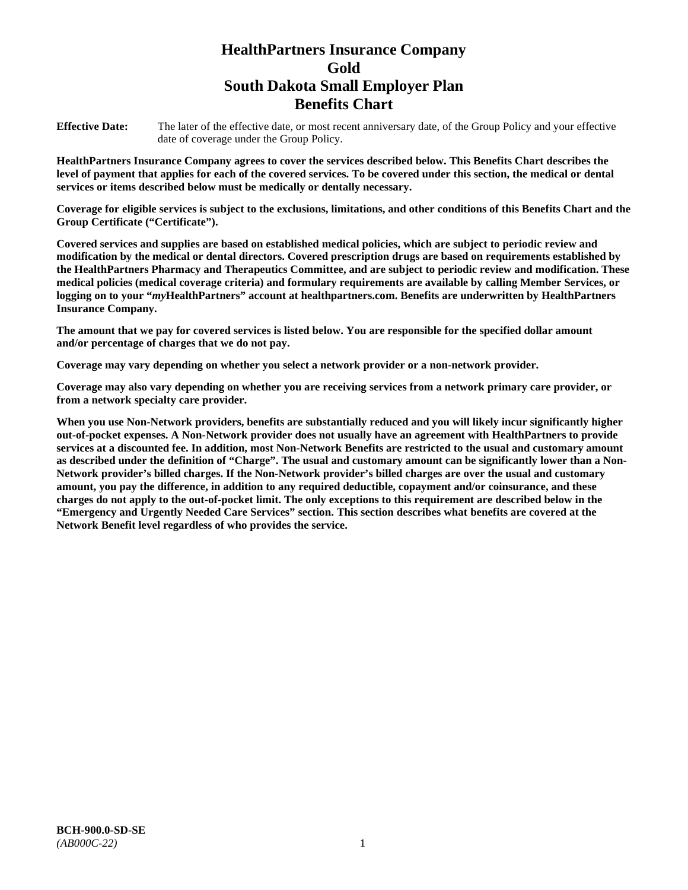# **HealthPartners Insurance Company Gold South Dakota Small Employer Plan Benefits Chart**

**Effective Date:** The later of the effective date, or most recent anniversary date, of the Group Policy and your effective date of coverage under the Group Policy.

**HealthPartners Insurance Company agrees to cover the services described below. This Benefits Chart describes the level of payment that applies for each of the covered services. To be covered under this section, the medical or dental services or items described below must be medically or dentally necessary.**

**Coverage for eligible services is subject to the exclusions, limitations, and other conditions of this Benefits Chart and the Group Certificate ("Certificate").**

**Covered services and supplies are based on established medical policies, which are subject to periodic review and modification by the medical or dental directors. Covered prescription drugs are based on requirements established by the HealthPartners Pharmacy and Therapeutics Committee, and are subject to periodic review and modification. These medical policies (medical coverage criteria) and formulary requirements are available by calling Member Services, or logging on to your "***my***HealthPartners" account at [healthpartners.com.](file://isntmacsrv0/www.healthpartners.com) Benefits are underwritten by HealthPartners Insurance Company.**

**The amount that we pay for covered services is listed below. You are responsible for the specified dollar amount and/or percentage of charges that we do not pay.**

**Coverage may vary depending on whether you select a network provider or a non-network provider.**

**Coverage may also vary depending on whether you are receiving services from a network primary care provider, or from a network specialty care provider.**

**When you use Non-Network providers, benefits are substantially reduced and you will likely incur significantly higher out-of-pocket expenses. A Non-Network provider does not usually have an agreement with HealthPartners to provide services at a discounted fee. In addition, most Non-Network Benefits are restricted to the usual and customary amount as described under the definition of "Charge". The usual and customary amount can be significantly lower than a Non-Network provider's billed charges. If the Non-Network provider's billed charges are over the usual and customary amount, you pay the difference, in addition to any required deductible, copayment and/or coinsurance, and these charges do not apply to the out-of-pocket limit. The only exceptions to this requirement are described below in the "Emergency and Urgently Needed Care Services" section. This section describes what benefits are covered at the Network Benefit level regardless of who provides the service.**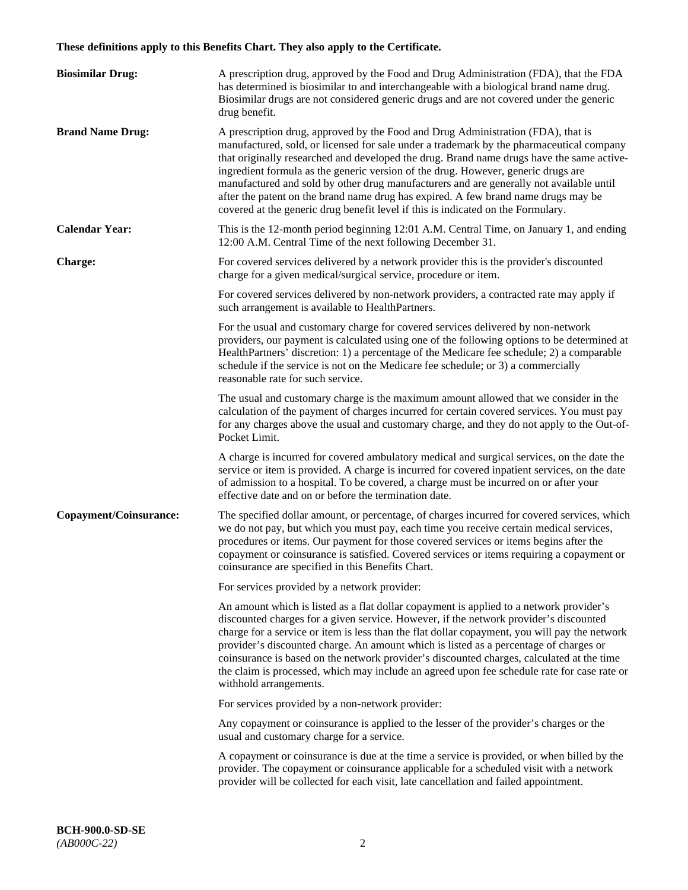# **These definitions apply to this Benefits Chart. They also apply to the Certificate.**

| <b>Biosimilar Drug:</b> | A prescription drug, approved by the Food and Drug Administration (FDA), that the FDA<br>has determined is biosimilar to and interchangeable with a biological brand name drug.<br>Biosimilar drugs are not considered generic drugs and are not covered under the generic<br>drug benefit.                                                                                                                                                                                                                                                                                                                                         |
|-------------------------|-------------------------------------------------------------------------------------------------------------------------------------------------------------------------------------------------------------------------------------------------------------------------------------------------------------------------------------------------------------------------------------------------------------------------------------------------------------------------------------------------------------------------------------------------------------------------------------------------------------------------------------|
| <b>Brand Name Drug:</b> | A prescription drug, approved by the Food and Drug Administration (FDA), that is<br>manufactured, sold, or licensed for sale under a trademark by the pharmaceutical company<br>that originally researched and developed the drug. Brand name drugs have the same active-<br>ingredient formula as the generic version of the drug. However, generic drugs are<br>manufactured and sold by other drug manufacturers and are generally not available until<br>after the patent on the brand name drug has expired. A few brand name drugs may be<br>covered at the generic drug benefit level if this is indicated on the Formulary. |
| <b>Calendar Year:</b>   | This is the 12-month period beginning 12:01 A.M. Central Time, on January 1, and ending<br>12:00 A.M. Central Time of the next following December 31.                                                                                                                                                                                                                                                                                                                                                                                                                                                                               |
| <b>Charge:</b>          | For covered services delivered by a network provider this is the provider's discounted<br>charge for a given medical/surgical service, procedure or item.                                                                                                                                                                                                                                                                                                                                                                                                                                                                           |
|                         | For covered services delivered by non-network providers, a contracted rate may apply if<br>such arrangement is available to HealthPartners.                                                                                                                                                                                                                                                                                                                                                                                                                                                                                         |
|                         | For the usual and customary charge for covered services delivered by non-network<br>providers, our payment is calculated using one of the following options to be determined at<br>HealthPartners' discretion: 1) a percentage of the Medicare fee schedule; 2) a comparable<br>schedule if the service is not on the Medicare fee schedule; or 3) a commercially<br>reasonable rate for such service.                                                                                                                                                                                                                              |
|                         | The usual and customary charge is the maximum amount allowed that we consider in the<br>calculation of the payment of charges incurred for certain covered services. You must pay<br>for any charges above the usual and customary charge, and they do not apply to the Out-of-<br>Pocket Limit.                                                                                                                                                                                                                                                                                                                                    |
|                         | A charge is incurred for covered ambulatory medical and surgical services, on the date the<br>service or item is provided. A charge is incurred for covered inpatient services, on the date<br>of admission to a hospital. To be covered, a charge must be incurred on or after your<br>effective date and on or before the termination date.                                                                                                                                                                                                                                                                                       |
| Copayment/Coinsurance:  | The specified dollar amount, or percentage, of charges incurred for covered services, which<br>we do not pay, but which you must pay, each time you receive certain medical services,<br>procedures or items. Our payment for those covered services or items begins after the<br>copayment or coinsurance is satisfied. Covered services or items requiring a copayment or<br>coinsurance are specified in this Benefits Chart.                                                                                                                                                                                                    |
|                         | For services provided by a network provider:                                                                                                                                                                                                                                                                                                                                                                                                                                                                                                                                                                                        |
|                         | An amount which is listed as a flat dollar copayment is applied to a network provider's<br>discounted charges for a given service. However, if the network provider's discounted<br>charge for a service or item is less than the flat dollar copayment, you will pay the network<br>provider's discounted charge. An amount which is listed as a percentage of charges or<br>coinsurance is based on the network provider's discounted charges, calculated at the time<br>the claim is processed, which may include an agreed upon fee schedule rate for case rate or<br>withhold arrangements.                                    |
|                         | For services provided by a non-network provider:                                                                                                                                                                                                                                                                                                                                                                                                                                                                                                                                                                                    |
|                         | Any copayment or coinsurance is applied to the lesser of the provider's charges or the<br>usual and customary charge for a service.                                                                                                                                                                                                                                                                                                                                                                                                                                                                                                 |
|                         | A copayment or coinsurance is due at the time a service is provided, or when billed by the<br>provider. The copayment or coinsurance applicable for a scheduled visit with a network<br>provider will be collected for each visit, late cancellation and failed appointment.                                                                                                                                                                                                                                                                                                                                                        |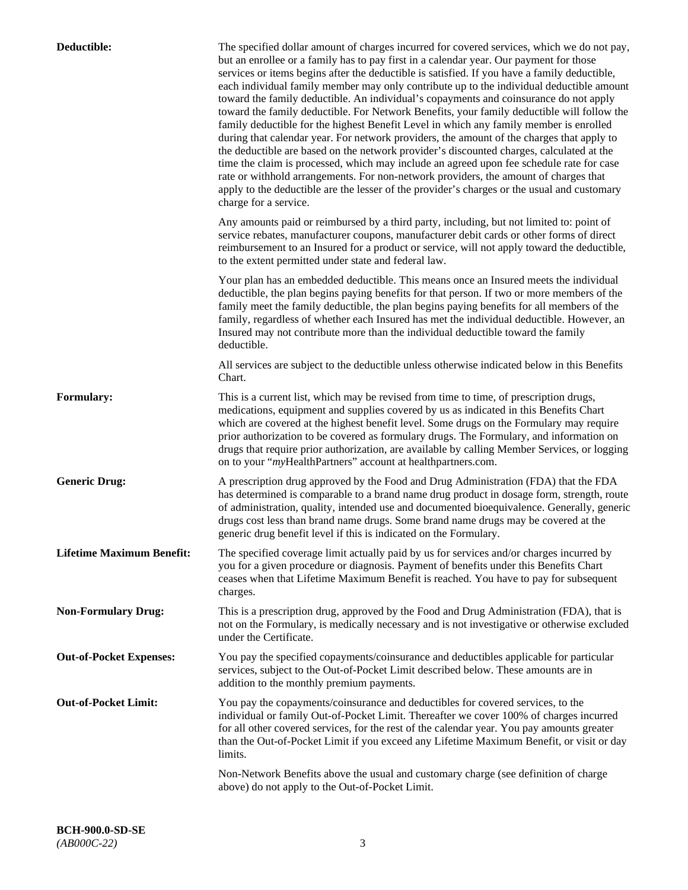| Deductible:                      | The specified dollar amount of charges incurred for covered services, which we do not pay,<br>but an enrollee or a family has to pay first in a calendar year. Our payment for those<br>services or items begins after the deductible is satisfied. If you have a family deductible,<br>each individual family member may only contribute up to the individual deductible amount<br>toward the family deductible. An individual's copayments and coinsurance do not apply<br>toward the family deductible. For Network Benefits, your family deductible will follow the<br>family deductible for the highest Benefit Level in which any family member is enrolled<br>during that calendar year. For network providers, the amount of the charges that apply to<br>the deductible are based on the network provider's discounted charges, calculated at the<br>time the claim is processed, which may include an agreed upon fee schedule rate for case<br>rate or withhold arrangements. For non-network providers, the amount of charges that<br>apply to the deductible are the lesser of the provider's charges or the usual and customary<br>charge for a service. |
|----------------------------------|------------------------------------------------------------------------------------------------------------------------------------------------------------------------------------------------------------------------------------------------------------------------------------------------------------------------------------------------------------------------------------------------------------------------------------------------------------------------------------------------------------------------------------------------------------------------------------------------------------------------------------------------------------------------------------------------------------------------------------------------------------------------------------------------------------------------------------------------------------------------------------------------------------------------------------------------------------------------------------------------------------------------------------------------------------------------------------------------------------------------------------------------------------------------|
|                                  | Any amounts paid or reimbursed by a third party, including, but not limited to: point of<br>service rebates, manufacturer coupons, manufacturer debit cards or other forms of direct<br>reimbursement to an Insured for a product or service, will not apply toward the deductible,<br>to the extent permitted under state and federal law.                                                                                                                                                                                                                                                                                                                                                                                                                                                                                                                                                                                                                                                                                                                                                                                                                            |
|                                  | Your plan has an embedded deductible. This means once an Insured meets the individual<br>deductible, the plan begins paying benefits for that person. If two or more members of the<br>family meet the family deductible, the plan begins paying benefits for all members of the<br>family, regardless of whether each Insured has met the individual deductible. However, an<br>Insured may not contribute more than the individual deductible toward the family<br>deductible.                                                                                                                                                                                                                                                                                                                                                                                                                                                                                                                                                                                                                                                                                       |
|                                  | All services are subject to the deductible unless otherwise indicated below in this Benefits<br>Chart.                                                                                                                                                                                                                                                                                                                                                                                                                                                                                                                                                                                                                                                                                                                                                                                                                                                                                                                                                                                                                                                                 |
| <b>Formulary:</b>                | This is a current list, which may be revised from time to time, of prescription drugs,<br>medications, equipment and supplies covered by us as indicated in this Benefits Chart<br>which are covered at the highest benefit level. Some drugs on the Formulary may require<br>prior authorization to be covered as formulary drugs. The Formulary, and information on<br>drugs that require prior authorization, are available by calling Member Services, or logging<br>on to your "myHealthPartners" account at healthpartners.com.                                                                                                                                                                                                                                                                                                                                                                                                                                                                                                                                                                                                                                  |
| <b>Generic Drug:</b>             | A prescription drug approved by the Food and Drug Administration (FDA) that the FDA<br>has determined is comparable to a brand name drug product in dosage form, strength, route<br>of administration, quality, intended use and documented bioequivalence. Generally, generic<br>drugs cost less than brand name drugs. Some brand name drugs may be covered at the<br>generic drug benefit level if this is indicated on the Formulary.                                                                                                                                                                                                                                                                                                                                                                                                                                                                                                                                                                                                                                                                                                                              |
| <b>Lifetime Maximum Benefit:</b> | The specified coverage limit actually paid by us for services and/or charges incurred by<br>you for a given procedure or diagnosis. Payment of benefits under this Benefits Chart<br>ceases when that Lifetime Maximum Benefit is reached. You have to pay for subsequent<br>charges.                                                                                                                                                                                                                                                                                                                                                                                                                                                                                                                                                                                                                                                                                                                                                                                                                                                                                  |
| <b>Non-Formulary Drug:</b>       | This is a prescription drug, approved by the Food and Drug Administration (FDA), that is<br>not on the Formulary, is medically necessary and is not investigative or otherwise excluded<br>under the Certificate.                                                                                                                                                                                                                                                                                                                                                                                                                                                                                                                                                                                                                                                                                                                                                                                                                                                                                                                                                      |
| <b>Out-of-Pocket Expenses:</b>   | You pay the specified copayments/coinsurance and deductibles applicable for particular<br>services, subject to the Out-of-Pocket Limit described below. These amounts are in<br>addition to the monthly premium payments.                                                                                                                                                                                                                                                                                                                                                                                                                                                                                                                                                                                                                                                                                                                                                                                                                                                                                                                                              |
| <b>Out-of-Pocket Limit:</b>      | You pay the copayments/coinsurance and deductibles for covered services, to the<br>individual or family Out-of-Pocket Limit. Thereafter we cover 100% of charges incurred<br>for all other covered services, for the rest of the calendar year. You pay amounts greater<br>than the Out-of-Pocket Limit if you exceed any Lifetime Maximum Benefit, or visit or day<br>limits.                                                                                                                                                                                                                                                                                                                                                                                                                                                                                                                                                                                                                                                                                                                                                                                         |
|                                  | Non-Network Benefits above the usual and customary charge (see definition of charge<br>above) do not apply to the Out-of-Pocket Limit.                                                                                                                                                                                                                                                                                                                                                                                                                                                                                                                                                                                                                                                                                                                                                                                                                                                                                                                                                                                                                                 |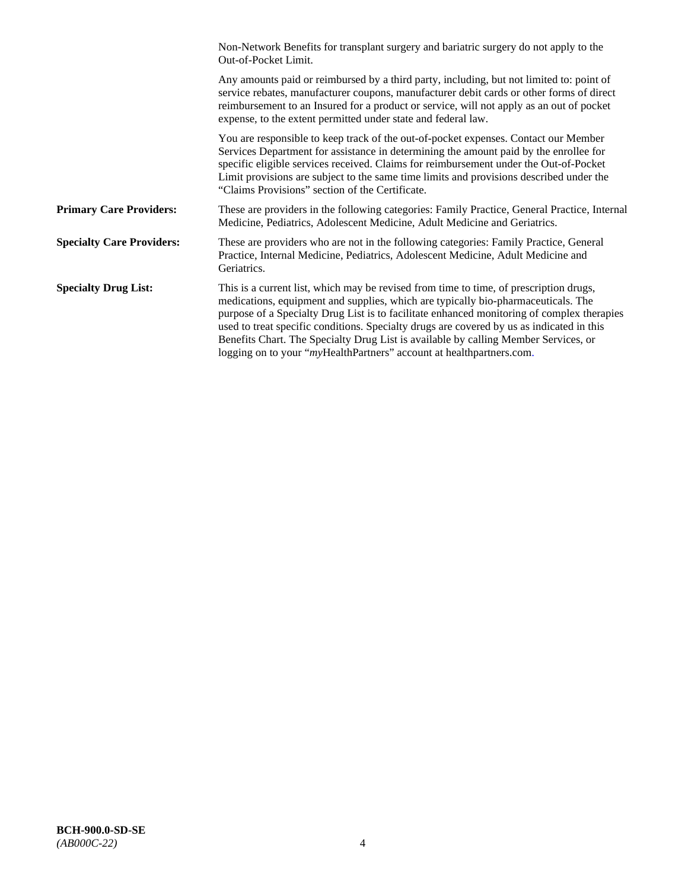|                                  | Non-Network Benefits for transplant surgery and bariatric surgery do not apply to the<br>Out-of-Pocket Limit.                                                                                                                                                                                                                                                                                                                                                                                                                         |
|----------------------------------|---------------------------------------------------------------------------------------------------------------------------------------------------------------------------------------------------------------------------------------------------------------------------------------------------------------------------------------------------------------------------------------------------------------------------------------------------------------------------------------------------------------------------------------|
|                                  | Any amounts paid or reimbursed by a third party, including, but not limited to: point of<br>service rebates, manufacturer coupons, manufacturer debit cards or other forms of direct<br>reimbursement to an Insured for a product or service, will not apply as an out of pocket<br>expense, to the extent permitted under state and federal law.                                                                                                                                                                                     |
|                                  | You are responsible to keep track of the out-of-pocket expenses. Contact our Member<br>Services Department for assistance in determining the amount paid by the enrollee for<br>specific eligible services received. Claims for reimbursement under the Out-of-Pocket<br>Limit provisions are subject to the same time limits and provisions described under the<br>"Claims Provisions" section of the Certificate.                                                                                                                   |
| <b>Primary Care Providers:</b>   | These are providers in the following categories: Family Practice, General Practice, Internal<br>Medicine, Pediatrics, Adolescent Medicine, Adult Medicine and Geriatrics.                                                                                                                                                                                                                                                                                                                                                             |
| <b>Specialty Care Providers:</b> | These are providers who are not in the following categories: Family Practice, General<br>Practice, Internal Medicine, Pediatrics, Adolescent Medicine, Adult Medicine and<br>Geriatrics.                                                                                                                                                                                                                                                                                                                                              |
| <b>Specialty Drug List:</b>      | This is a current list, which may be revised from time to time, of prescription drugs,<br>medications, equipment and supplies, which are typically bio-pharmaceuticals. The<br>purpose of a Specialty Drug List is to facilitate enhanced monitoring of complex therapies<br>used to treat specific conditions. Specialty drugs are covered by us as indicated in this<br>Benefits Chart. The Specialty Drug List is available by calling Member Services, or<br>logging on to your "myHealthPartners" account at healthpartners.com. |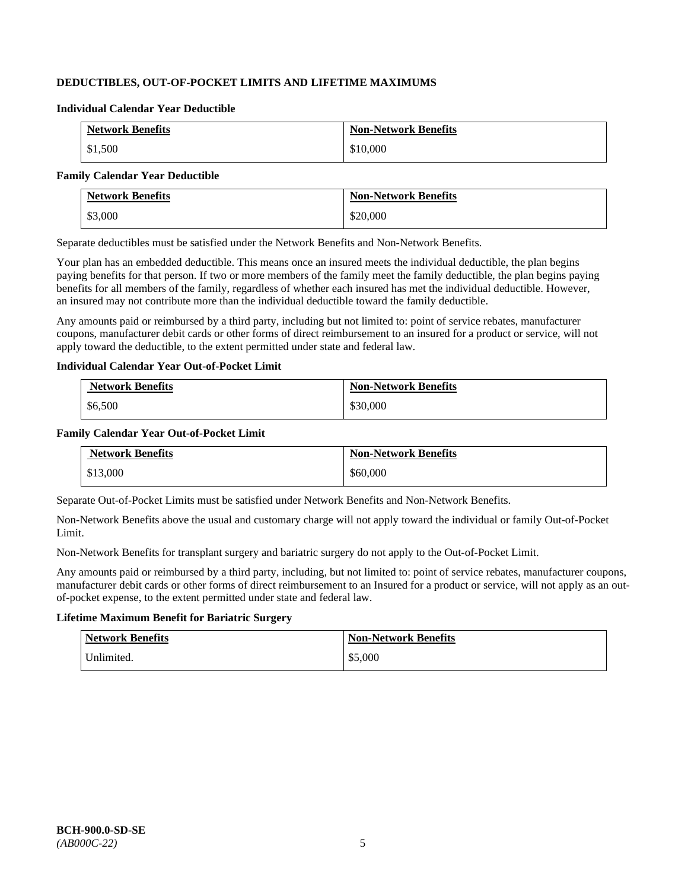# **DEDUCTIBLES, OUT-OF-POCKET LIMITS AND LIFETIME MAXIMUMS**

#### **Individual Calendar Year Deductible**

| <b>Network Benefits</b> | <b>Non-Network Benefits</b> |
|-------------------------|-----------------------------|
| \$1,500                 | \$10,000                    |

#### **Family Calendar Year Deductible**

| <b>Network Benefits</b> | <b>Non-Network Benefits</b> |
|-------------------------|-----------------------------|
| \$3,000                 | \$20,000                    |

Separate deductibles must be satisfied under the Network Benefits and Non-Network Benefits.

Your plan has an embedded deductible. This means once an insured meets the individual deductible, the plan begins paying benefits for that person. If two or more members of the family meet the family deductible, the plan begins paying benefits for all members of the family, regardless of whether each insured has met the individual deductible. However, an insured may not contribute more than the individual deductible toward the family deductible.

Any amounts paid or reimbursed by a third party, including but not limited to: point of service rebates, manufacturer coupons, manufacturer debit cards or other forms of direct reimbursement to an insured for a product or service, will not apply toward the deductible, to the extent permitted under state and federal law.

### **Individual Calendar Year Out-of-Pocket Limit**

| <b>Network Benefits</b> | <b>Non-Network Benefits</b> |
|-------------------------|-----------------------------|
| \$6,500                 | \$30,000                    |

### **Family Calendar Year Out-of-Pocket Limit**

| <b>Network Benefits</b> | <b>Non-Network Benefits</b> |
|-------------------------|-----------------------------|
| \$13,000                | \$60,000                    |

Separate Out-of-Pocket Limits must be satisfied under Network Benefits and Non-Network Benefits.

Non-Network Benefits above the usual and customary charge will not apply toward the individual or family Out-of-Pocket Limit.

Non-Network Benefits for transplant surgery and bariatric surgery do not apply to the Out-of-Pocket Limit.

Any amounts paid or reimbursed by a third party, including, but not limited to: point of service rebates, manufacturer coupons, manufacturer debit cards or other forms of direct reimbursement to an Insured for a product or service, will not apply as an outof-pocket expense, to the extent permitted under state and federal law.

# **Lifetime Maximum Benefit for Bariatric Surgery**

| <b>Network Benefits</b> | <b>Non-Network Benefits</b> |
|-------------------------|-----------------------------|
| Unlimited.              | \$5,000                     |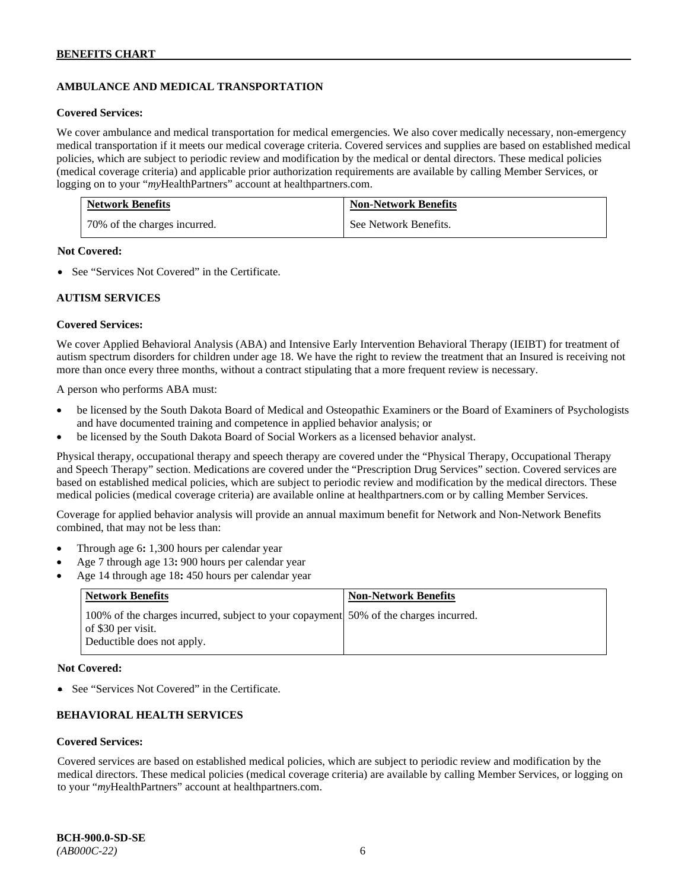# **AMBULANCE AND MEDICAL TRANSPORTATION**

#### **Covered Services:**

We cover ambulance and medical transportation for medical emergencies. We also cover medically necessary, non-emergency medical transportation if it meets our medical coverage criteria. Covered services and supplies are based on established medical policies, which are subject to periodic review and modification by the medical or dental directors. These medical policies (medical coverage criteria) and applicable prior authorization requirements are available by calling Member Services, or logging on to your "*my*HealthPartners" account at [healthpartners.com.](http://healthpartners.com/)

| <b>Network Benefits</b>      | <b>Non-Network Benefits</b> |
|------------------------------|-----------------------------|
| 70% of the charges incurred. | See Network Benefits.       |

### **Not Covered:**

• See "Services Not Covered" in the Certificate.

### **AUTISM SERVICES**

### **Covered Services:**

We cover Applied Behavioral Analysis (ABA) and Intensive Early Intervention Behavioral Therapy (IEIBT) for treatment of autism spectrum disorders for children under age 18. We have the right to review the treatment that an Insured is receiving not more than once every three months, without a contract stipulating that a more frequent review is necessary.

A person who performs ABA must:

- be licensed by the South Dakota Board of Medical and Osteopathic Examiners or the Board of Examiners of Psychologists and have documented training and competence in applied behavior analysis; or
- be licensed by the South Dakota Board of Social Workers as a licensed behavior analyst.

Physical therapy, occupational therapy and speech therapy are covered under the "Physical Therapy, Occupational Therapy and Speech Therapy" section. Medications are covered under the "Prescription Drug Services" section. Covered services are based on established medical policies, which are subject to periodic review and modification by the medical directors. These medical policies (medical coverage criteria) are available online at [healthpartners.com](http://healthpartners.com/) or by calling Member Services.

Coverage for applied behavior analysis will provide an annual maximum benefit for Network and Non-Network Benefits combined, that may not be less than:

- Through age 6**:** 1,300 hours per calendar year
- Age 7 through age 13**:** 900 hours per calendar year
- Age 14 through age 18**:** 450 hours per calendar year

| <b>Network Benefits</b>                                                                                                                  | <b>Non-Network Benefits</b> |
|------------------------------------------------------------------------------------------------------------------------------------------|-----------------------------|
| 100% of the charges incurred, subject to your copayment 50% of the charges incurred.<br>of \$30 per visit.<br>Deductible does not apply. |                             |

### **Not Covered:**

• See "Services Not Covered" in the Certificate.

### **BEHAVIORAL HEALTH SERVICES**

#### **Covered Services:**

Covered services are based on established medical policies, which are subject to periodic review and modification by the medical directors. These medical policies (medical coverage criteria) are available by calling Member Services, or logging on to your "*my*HealthPartners" account at [healthpartners.com.](http://healthpartners.com/)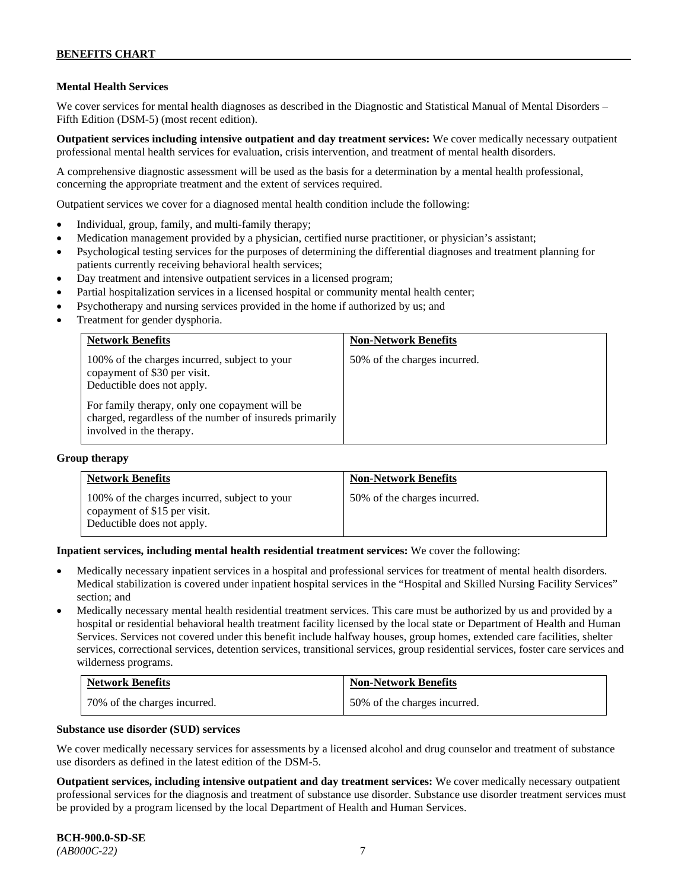### **Mental Health Services**

We cover services for mental health diagnoses as described in the Diagnostic and Statistical Manual of Mental Disorders – Fifth Edition (DSM-5) (most recent edition).

**Outpatient services including intensive outpatient and day treatment services:** We cover medically necessary outpatient professional mental health services for evaluation, crisis intervention, and treatment of mental health disorders.

A comprehensive diagnostic assessment will be used as the basis for a determination by a mental health professional, concerning the appropriate treatment and the extent of services required.

Outpatient services we cover for a diagnosed mental health condition include the following:

- Individual, group, family, and multi-family therapy;
- Medication management provided by a physician, certified nurse practitioner, or physician's assistant;
- Psychological testing services for the purposes of determining the differential diagnoses and treatment planning for patients currently receiving behavioral health services;
- Day treatment and intensive outpatient services in a licensed program;
- Partial hospitalization services in a licensed hospital or community mental health center;
- Psychotherapy and nursing services provided in the home if authorized by us; and
- Treatment for gender dysphoria.

| <b>Network Benefits</b>                                                                                                                                       | <b>Non-Network Benefits</b>  |
|---------------------------------------------------------------------------------------------------------------------------------------------------------------|------------------------------|
| 100% of the charges incurred, subject to your<br>copayment of \$30 per visit.<br>Deductible does not apply.<br>For family therapy, only one copayment will be | 50% of the charges incurred. |
| charged, regardless of the number of insureds primarily<br>involved in the therapy.                                                                           |                              |

#### **Group therapy**

| <b>Network Benefits</b>                                                                                     | <b>Non-Network Benefits</b>  |
|-------------------------------------------------------------------------------------------------------------|------------------------------|
| 100% of the charges incurred, subject to your<br>copayment of \$15 per visit.<br>Deductible does not apply. | 50% of the charges incurred. |

**Inpatient services, including mental health residential treatment services:** We cover the following:

- Medically necessary inpatient services in a hospital and professional services for treatment of mental health disorders. Medical stabilization is covered under inpatient hospital services in the "Hospital and Skilled Nursing Facility Services" section; and
- Medically necessary mental health residential treatment services. This care must be authorized by us and provided by a hospital or residential behavioral health treatment facility licensed by the local state or Department of Health and Human Services. Services not covered under this benefit include halfway houses, group homes, extended care facilities, shelter services, correctional services, detention services, transitional services, group residential services, foster care services and wilderness programs.

| <b>Network Benefits</b>      | <b>Non-Network Benefits</b>  |
|------------------------------|------------------------------|
| 70% of the charges incurred. | 50% of the charges incurred. |

### **Substance use disorder (SUD) services**

We cover medically necessary services for assessments by a licensed alcohol and drug counselor and treatment of substance use disorders as defined in the latest edition of the DSM-5.

**Outpatient services, including intensive outpatient and day treatment services:** We cover medically necessary outpatient professional services for the diagnosis and treatment of substance use disorder. Substance use disorder treatment services must be provided by a program licensed by the local Department of Health and Human Services.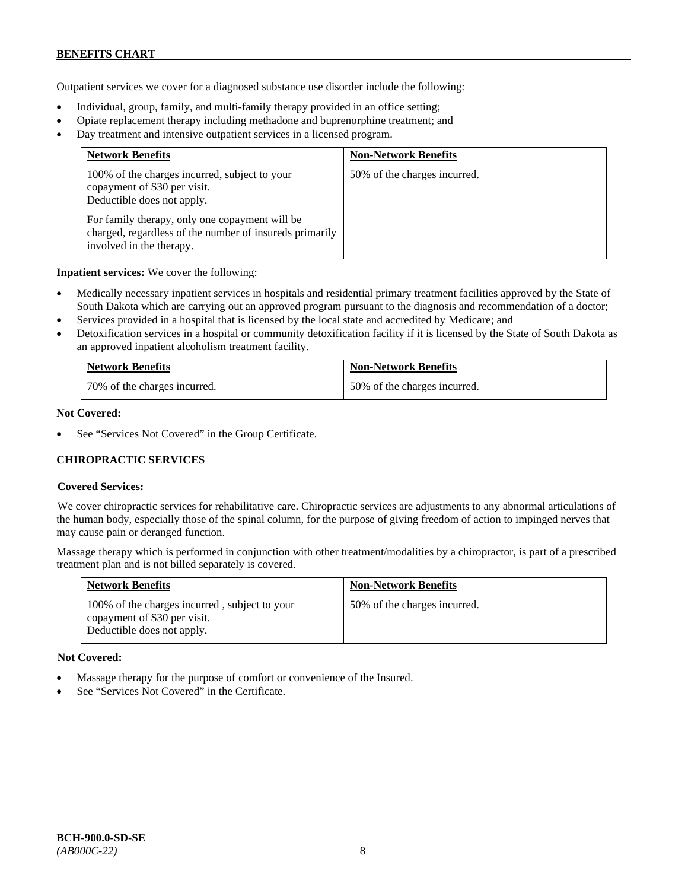Outpatient services we cover for a diagnosed substance use disorder include the following:

- Individual, group, family, and multi-family therapy provided in an office setting;
- Opiate replacement therapy including methadone and buprenorphine treatment; and
- Day treatment and intensive outpatient services in a licensed program.

| <b>Network Benefits</b>                                                                                                               | <b>Non-Network Benefits</b>  |
|---------------------------------------------------------------------------------------------------------------------------------------|------------------------------|
| 100% of the charges incurred, subject to your<br>copayment of \$30 per visit.<br>Deductible does not apply.                           | 50% of the charges incurred. |
| For family therapy, only one copayment will be<br>charged, regardless of the number of insureds primarily<br>involved in the therapy. |                              |

**Inpatient services:** We cover the following:

- Medically necessary inpatient services in hospitals and residential primary treatment facilities approved by the State of South Dakota which are carrying out an approved program pursuant to the diagnosis and recommendation of a doctor;
- Services provided in a hospital that is licensed by the local state and accredited by Medicare; and
- Detoxification services in a hospital or community detoxification facility if it is licensed by the State of South Dakota as an approved inpatient alcoholism treatment facility.

| <b>Network Benefits</b>      | <b>Non-Network Benefits</b>  |
|------------------------------|------------------------------|
| 70% of the charges incurred. | 50% of the charges incurred. |

### **Not Covered:**

See "Services Not Covered" in the Group Certificate.

### **CHIROPRACTIC SERVICES**

### **Covered Services:**

We cover chiropractic services for rehabilitative care. Chiropractic services are adjustments to any abnormal articulations of the human body, especially those of the spinal column, for the purpose of giving freedom of action to impinged nerves that may cause pain or deranged function.

Massage therapy which is performed in conjunction with other treatment/modalities by a chiropractor, is part of a prescribed treatment plan and is not billed separately is covered.

| <b>Network Benefits</b>                                                                                     | <b>Non-Network Benefits</b>  |
|-------------------------------------------------------------------------------------------------------------|------------------------------|
| 100% of the charges incurred, subject to your<br>copayment of \$30 per visit.<br>Deductible does not apply. | 50% of the charges incurred. |

#### **Not Covered:**

- Massage therapy for the purpose of comfort or convenience of the Insured.
- See "Services Not Covered" in the Certificate.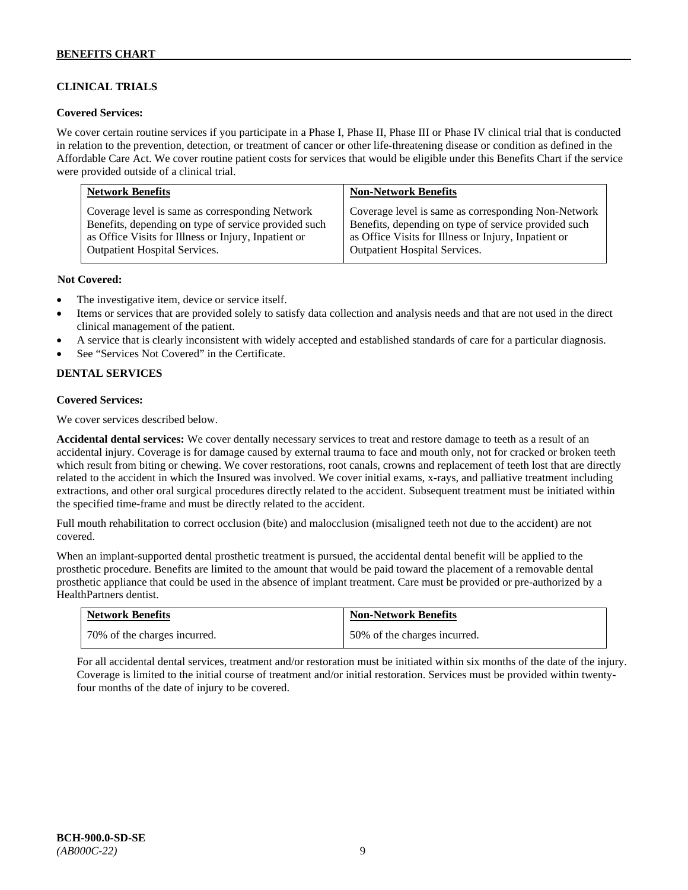# **CLINICAL TRIALS**

### **Covered Services:**

We cover certain routine services if you participate in a Phase I, Phase II, Phase III or Phase IV clinical trial that is conducted in relation to the prevention, detection, or treatment of cancer or other life-threatening disease or condition as defined in the Affordable Care Act. We cover routine patient costs for services that would be eligible under this Benefits Chart if the service were provided outside of a clinical trial.

| <b>Network Benefits</b>                              | <b>Non-Network Benefits</b>                          |
|------------------------------------------------------|------------------------------------------------------|
| Coverage level is same as corresponding Network      | Coverage level is same as corresponding Non-Network  |
| Benefits, depending on type of service provided such | Benefits, depending on type of service provided such |
| as Office Visits for Illness or Injury, Inpatient or | as Office Visits for Illness or Injury, Inpatient or |
| <b>Outpatient Hospital Services.</b>                 | Outpatient Hospital Services.                        |

### **Not Covered:**

- The investigative item, device or service itself.
- Items or services that are provided solely to satisfy data collection and analysis needs and that are not used in the direct clinical management of the patient.
- A service that is clearly inconsistent with widely accepted and established standards of care for a particular diagnosis.
- See "Services Not Covered" in the Certificate.

### **DENTAL SERVICES**

### **Covered Services:**

We cover services described below.

**Accidental dental services:** We cover dentally necessary services to treat and restore damage to teeth as a result of an accidental injury. Coverage is for damage caused by external trauma to face and mouth only, not for cracked or broken teeth which result from biting or chewing. We cover restorations, root canals, crowns and replacement of teeth lost that are directly related to the accident in which the Insured was involved. We cover initial exams, x-rays, and palliative treatment including extractions, and other oral surgical procedures directly related to the accident. Subsequent treatment must be initiated within the specified time-frame and must be directly related to the accident.

Full mouth rehabilitation to correct occlusion (bite) and malocclusion (misaligned teeth not due to the accident) are not covered.

When an implant-supported dental prosthetic treatment is pursued, the accidental dental benefit will be applied to the prosthetic procedure. Benefits are limited to the amount that would be paid toward the placement of a removable dental prosthetic appliance that could be used in the absence of implant treatment. Care must be provided or pre-authorized by a HealthPartners dentist.

| <b>Network Benefits</b>      | <b>Non-Network Benefits</b>  |
|------------------------------|------------------------------|
| 70% of the charges incurred. | 50% of the charges incurred. |

For all accidental dental services, treatment and/or restoration must be initiated within six months of the date of the injury. Coverage is limited to the initial course of treatment and/or initial restoration. Services must be provided within twentyfour months of the date of injury to be covered.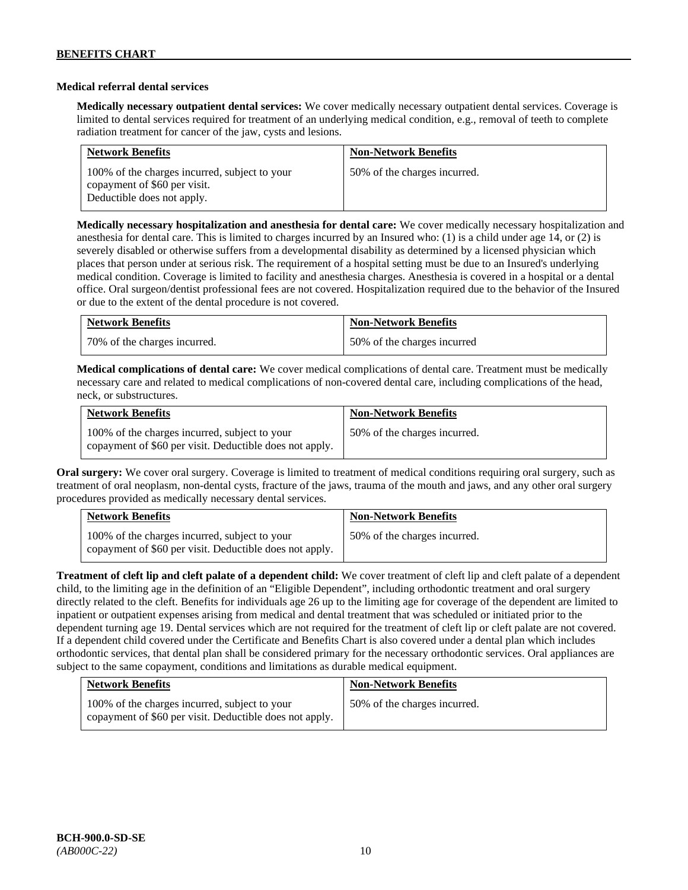### **Medical referral dental services**

**Medically necessary outpatient dental services:** We cover medically necessary outpatient dental services. Coverage is limited to dental services required for treatment of an underlying medical condition, e.g., removal of teeth to complete radiation treatment for cancer of the jaw, cysts and lesions.

| <b>Network Benefits</b>                                                                                     | <b>Non-Network Benefits</b>  |
|-------------------------------------------------------------------------------------------------------------|------------------------------|
| 100% of the charges incurred, subject to your<br>copayment of \$60 per visit.<br>Deductible does not apply. | 50% of the charges incurred. |

**Medically necessary hospitalization and anesthesia for dental care:** We cover medically necessary hospitalization and anesthesia for dental care. This is limited to charges incurred by an Insured who: (1) is a child under age 14, or (2) is severely disabled or otherwise suffers from a developmental disability as determined by a licensed physician which places that person under at serious risk. The requirement of a hospital setting must be due to an Insured's underlying medical condition. Coverage is limited to facility and anesthesia charges. Anesthesia is covered in a hospital or a dental office. Oral surgeon/dentist professional fees are not covered. Hospitalization required due to the behavior of the Insured or due to the extent of the dental procedure is not covered.

| <b>Network Benefits</b>      | <b>Non-Network Benefits</b> |
|------------------------------|-----------------------------|
| 70% of the charges incurred. | 50% of the charges incurred |

**Medical complications of dental care:** We cover medical complications of dental care. Treatment must be medically necessary care and related to medical complications of non-covered dental care, including complications of the head, neck, or substructures.

| <b>Network Benefits</b>                                                                                  | <b>Non-Network Benefits</b>  |
|----------------------------------------------------------------------------------------------------------|------------------------------|
| 100% of the charges incurred, subject to your<br>copayment of \$60 per visit. Deductible does not apply. | 50% of the charges incurred. |

**Oral surgery:** We cover oral surgery. Coverage is limited to treatment of medical conditions requiring oral surgery, such as treatment of oral neoplasm, non-dental cysts, fracture of the jaws, trauma of the mouth and jaws, and any other oral surgery procedures provided as medically necessary dental services.

| <b>Network Benefits</b>                                                                                  | <b>Non-Network Benefits</b>  |
|----------------------------------------------------------------------------------------------------------|------------------------------|
| 100% of the charges incurred, subject to your<br>copayment of \$60 per visit. Deductible does not apply. | 50% of the charges incurred. |

**Treatment of cleft lip and cleft palate of a dependent child:** We cover treatment of cleft lip and cleft palate of a dependent child, to the limiting age in the definition of an "Eligible Dependent", including orthodontic treatment and oral surgery directly related to the cleft. Benefits for individuals age 26 up to the limiting age for coverage of the dependent are limited to inpatient or outpatient expenses arising from medical and dental treatment that was scheduled or initiated prior to the dependent turning age 19. Dental services which are not required for the treatment of cleft lip or cleft palate are not covered. If a dependent child covered under the Certificate and Benefits Chart is also covered under a dental plan which includes orthodontic services, that dental plan shall be considered primary for the necessary orthodontic services. Oral appliances are subject to the same copayment, conditions and limitations as durable medical equipment.

| <b>Network Benefits</b>                                                                                  | <b>Non-Network Benefits</b>  |
|----------------------------------------------------------------------------------------------------------|------------------------------|
| 100% of the charges incurred, subject to your<br>copayment of \$60 per visit. Deductible does not apply. | 50% of the charges incurred. |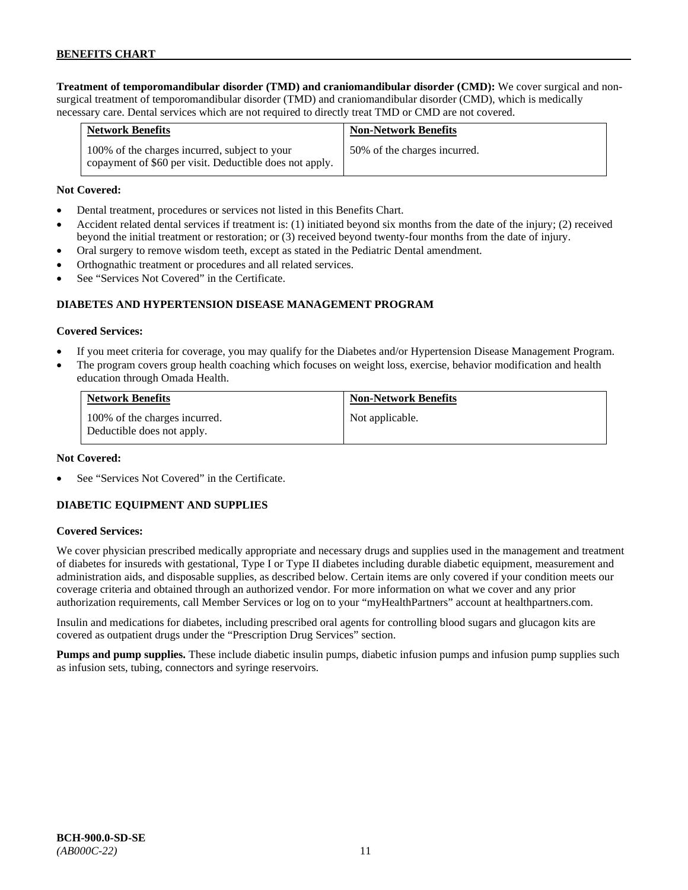**Treatment of temporomandibular disorder (TMD) and craniomandibular disorder (CMD):** We cover surgical and nonsurgical treatment of temporomandibular disorder (TMD) and craniomandibular disorder (CMD), which is medically necessary care. Dental services which are not required to directly treat TMD or CMD are not covered.

| <b>Network Benefits</b>                                                                                  | <b>Non-Network Benefits</b>  |
|----------------------------------------------------------------------------------------------------------|------------------------------|
| 100% of the charges incurred, subject to your<br>copayment of \$60 per visit. Deductible does not apply. | 50% of the charges incurred. |

### **Not Covered:**

- Dental treatment, procedures or services not listed in this Benefits Chart.
- Accident related dental services if treatment is: (1) initiated beyond six months from the date of the injury; (2) received beyond the initial treatment or restoration; or (3) received beyond twenty-four months from the date of injury.
- Oral surgery to remove wisdom teeth, except as stated in the Pediatric Dental amendment.
- Orthognathic treatment or procedures and all related services.
- See "Services Not Covered" in the Certificate.

### **DIABETES AND HYPERTENSION DISEASE MANAGEMENT PROGRAM**

#### **Covered Services:**

- If you meet criteria for coverage, you may qualify for the Diabetes and/or Hypertension Disease Management Program.
- The program covers group health coaching which focuses on weight loss, exercise, behavior modification and health education through Omada Health.

| <b>Network Benefits</b>                                     | <b>Non-Network Benefits</b> |
|-------------------------------------------------------------|-----------------------------|
| 100% of the charges incurred.<br>Deductible does not apply. | Not applicable.             |

#### **Not Covered:**

See "Services Not Covered" in the Certificate.

### **DIABETIC EQUIPMENT AND SUPPLIES**

#### **Covered Services:**

We cover physician prescribed medically appropriate and necessary drugs and supplies used in the management and treatment of diabetes for insureds with gestational, Type I or Type II diabetes including durable diabetic equipment, measurement and administration aids, and disposable supplies, as described below. Certain items are only covered if your condition meets our coverage criteria and obtained through an authorized vendor. For more information on what we cover and any prior authorization requirements, call Member Services or log on to your "myHealthPartners" account at [healthpartners.com.](http://www.healthpartners.com/)

Insulin and medications for diabetes, including prescribed oral agents for controlling blood sugars and glucagon kits are covered as outpatient drugs under the "Prescription Drug Services" section.

**Pumps and pump supplies.** These include diabetic insulin pumps, diabetic infusion pumps and infusion pump supplies such as infusion sets, tubing, connectors and syringe reservoirs.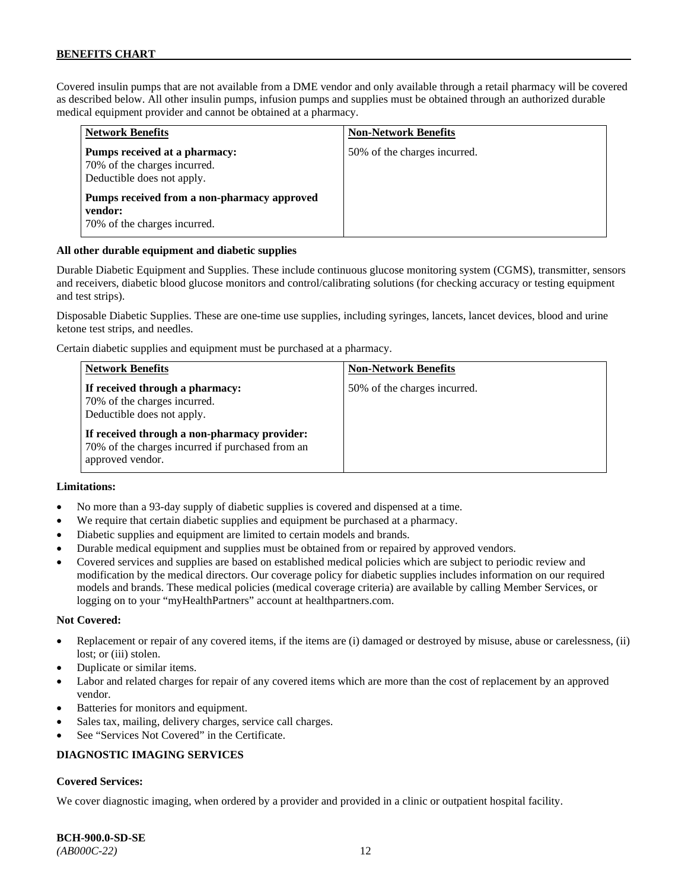Covered insulin pumps that are not available from a DME vendor and only available through a retail pharmacy will be covered as described below. All other insulin pumps, infusion pumps and supplies must be obtained through an authorized durable medical equipment provider and cannot be obtained at a pharmacy.

| <b>Network Benefits</b>                                                                     | <b>Non-Network Benefits</b>  |
|---------------------------------------------------------------------------------------------|------------------------------|
| Pumps received at a pharmacy:<br>70% of the charges incurred.<br>Deductible does not apply. | 50% of the charges incurred. |
| Pumps received from a non-pharmacy approved<br>vendor:<br>70% of the charges incurred.      |                              |

### **All other durable equipment and diabetic supplies**

Durable Diabetic Equipment and Supplies. These include continuous glucose monitoring system (CGMS), transmitter, sensors and receivers, diabetic blood glucose monitors and control/calibrating solutions (for checking accuracy or testing equipment and test strips).

Disposable Diabetic Supplies. These are one-time use supplies, including syringes, lancets, lancet devices, blood and urine ketone test strips, and needles.

Certain diabetic supplies and equipment must be purchased at a pharmacy.

| <b>Network Benefits</b>                                                                                              | <b>Non-Network Benefits</b>  |
|----------------------------------------------------------------------------------------------------------------------|------------------------------|
| If received through a pharmacy:<br>70% of the charges incurred.<br>Deductible does not apply.                        | 50% of the charges incurred. |
| If received through a non-pharmacy provider:<br>70% of the charges incurred if purchased from an<br>approved vendor. |                              |

### **Limitations:**

- No more than a 93-day supply of diabetic supplies is covered and dispensed at a time.
- We require that certain diabetic supplies and equipment be purchased at a pharmacy.
- Diabetic supplies and equipment are limited to certain models and brands.
- Durable medical equipment and supplies must be obtained from or repaired by approved vendors.
- Covered services and supplies are based on established medical policies which are subject to periodic review and modification by the medical directors. Our coverage policy for diabetic supplies includes information on our required models and brands. These medical policies (medical coverage criteria) are available by calling Member Services, or logging on to your "myHealthPartners" account at [healthpartners.com.](http://www.healthpartners.com/)

#### **Not Covered:**

- Replacement or repair of any covered items, if the items are (i) damaged or destroyed by misuse, abuse or carelessness, (ii) lost; or (iii) stolen.
- Duplicate or similar items.
- Labor and related charges for repair of any covered items which are more than the cost of replacement by an approved vendor.
- Batteries for monitors and equipment.
- Sales tax, mailing, delivery charges, service call charges.
- See "Services Not Covered" in the Certificate.

### **DIAGNOSTIC IMAGING SERVICES**

### **Covered Services:**

We cover diagnostic imaging, when ordered by a provider and provided in a clinic or outpatient hospital facility.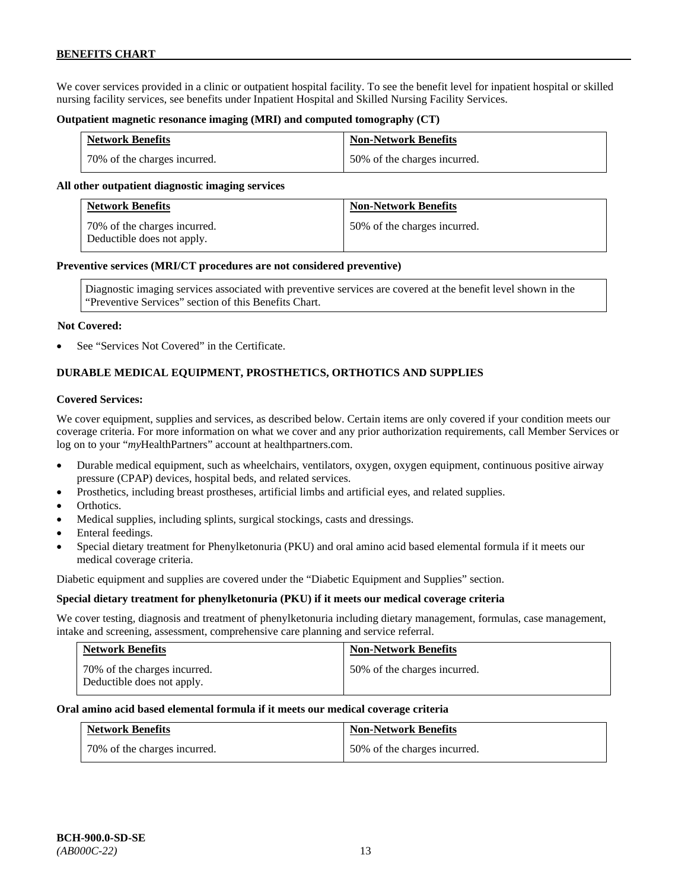We cover services provided in a clinic or outpatient hospital facility. To see the benefit level for inpatient hospital or skilled nursing facility services, see benefits under Inpatient Hospital and Skilled Nursing Facility Services.

#### **Outpatient magnetic resonance imaging (MRI) and computed tomography (CT)**

| <b>Network Benefits</b>      | <b>Non-Network Benefits</b>  |
|------------------------------|------------------------------|
| 70% of the charges incurred. | 50% of the charges incurred. |

#### **All other outpatient diagnostic imaging services**

| <b>Network Benefits</b>                                    | <b>Non-Network Benefits</b>  |
|------------------------------------------------------------|------------------------------|
| 70% of the charges incurred.<br>Deductible does not apply. | 50% of the charges incurred. |

#### **Preventive services (MRI/CT procedures are not considered preventive)**

Diagnostic imaging services associated with preventive services are covered at the benefit level shown in the "Preventive Services" section of this Benefits Chart.

#### **Not Covered:**

See "Services Not Covered" in the Certificate.

# **DURABLE MEDICAL EQUIPMENT, PROSTHETICS, ORTHOTICS AND SUPPLIES**

### **Covered Services:**

We cover equipment, supplies and services, as described below. Certain items are only covered if your condition meets our coverage criteria. For more information on what we cover and any prior authorization requirements, call Member Services or log on to your "myHealthPartners" account at [healthpartners.com.](http://healthpartners.com/)

- Durable medical equipment, such as wheelchairs, ventilators, oxygen, oxygen equipment, continuous positive airway pressure (CPAP) devices, hospital beds, and related services.
- Prosthetics, including breast prostheses, artificial limbs and artificial eyes, and related supplies.
- Orthotics.
- Medical supplies, including splints, surgical stockings, casts and dressings.
- Enteral feedings.
- Special dietary treatment for Phenylketonuria (PKU) and oral amino acid based elemental formula if it meets our medical coverage criteria.

Diabetic equipment and supplies are covered under the "Diabetic Equipment and Supplies" section.

### **Special dietary treatment for phenylketonuria (PKU) if it meets our medical coverage criteria**

We cover testing, diagnosis and treatment of phenylketonuria including dietary management, formulas, case management, intake and screening, assessment, comprehensive care planning and service referral.

| <b>Network Benefits</b>                                    | <b>Non-Network Benefits</b>  |
|------------------------------------------------------------|------------------------------|
| 70% of the charges incurred.<br>Deductible does not apply. | 50% of the charges incurred. |

#### **Oral amino acid based elemental formula if it meets our medical coverage criteria**

| <b>Network Benefits</b>      | <b>Non-Network Benefits</b>  |
|------------------------------|------------------------------|
| 70% of the charges incurred. | 50% of the charges incurred. |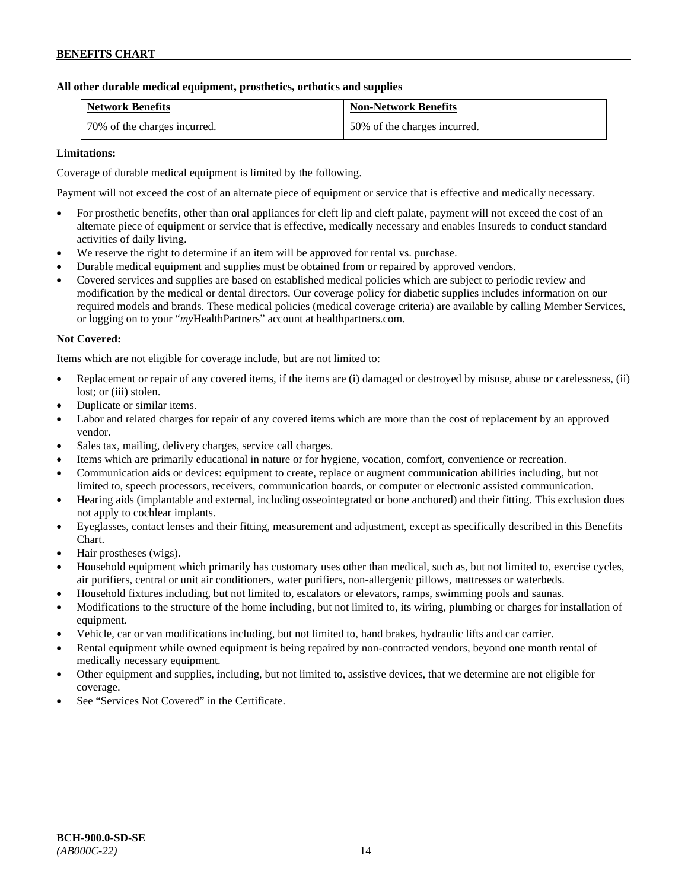### **All other durable medical equipment, prosthetics, orthotics and supplies**

| <b>Network Benefits</b>      | <b>Non-Network Benefits</b>  |
|------------------------------|------------------------------|
| 70% of the charges incurred. | 50% of the charges incurred. |

### **Limitations:**

Coverage of durable medical equipment is limited by the following.

Payment will not exceed the cost of an alternate piece of equipment or service that is effective and medically necessary.

- For prosthetic benefits, other than oral appliances for cleft lip and cleft palate, payment will not exceed the cost of an alternate piece of equipment or service that is effective, medically necessary and enables Insureds to conduct standard activities of daily living.
- We reserve the right to determine if an item will be approved for rental vs. purchase.
- Durable medical equipment and supplies must be obtained from or repaired by approved vendors.
- Covered services and supplies are based on established medical policies which are subject to periodic review and modification by the medical or dental directors. Our coverage policy for diabetic supplies includes information on our required models and brands. These medical policies (medical coverage criteria) are available by calling Member Services, or logging on to your "*my*HealthPartners" account at [healthpartners.com.](http://www.healthpartners.com/)

### **Not Covered:**

Items which are not eligible for coverage include, but are not limited to:

- Replacement or repair of any covered items, if the items are (i) damaged or destroyed by misuse, abuse or carelessness, (ii) lost; or (iii) stolen.
- Duplicate or similar items.
- Labor and related charges for repair of any covered items which are more than the cost of replacement by an approved vendor.
- Sales tax, mailing, delivery charges, service call charges.
- Items which are primarily educational in nature or for hygiene, vocation, comfort, convenience or recreation.
- Communication aids or devices: equipment to create, replace or augment communication abilities including, but not limited to, speech processors, receivers, communication boards, or computer or electronic assisted communication.
- Hearing aids (implantable and external, including osseointegrated or bone anchored) and their fitting. This exclusion does not apply to cochlear implants.
- Eyeglasses, contact lenses and their fitting, measurement and adjustment, except as specifically described in this Benefits Chart.
- Hair prostheses (wigs).
- Household equipment which primarily has customary uses other than medical, such as, but not limited to, exercise cycles, air purifiers, central or unit air conditioners, water purifiers, non-allergenic pillows, mattresses or waterbeds.
- Household fixtures including, but not limited to, escalators or elevators, ramps, swimming pools and saunas.
- Modifications to the structure of the home including, but not limited to, its wiring, plumbing or charges for installation of equipment.
- Vehicle, car or van modifications including, but not limited to, hand brakes, hydraulic lifts and car carrier.
- Rental equipment while owned equipment is being repaired by non-contracted vendors, beyond one month rental of medically necessary equipment.
- Other equipment and supplies, including, but not limited to, assistive devices, that we determine are not eligible for coverage.
- See "Services Not Covered" in the Certificate.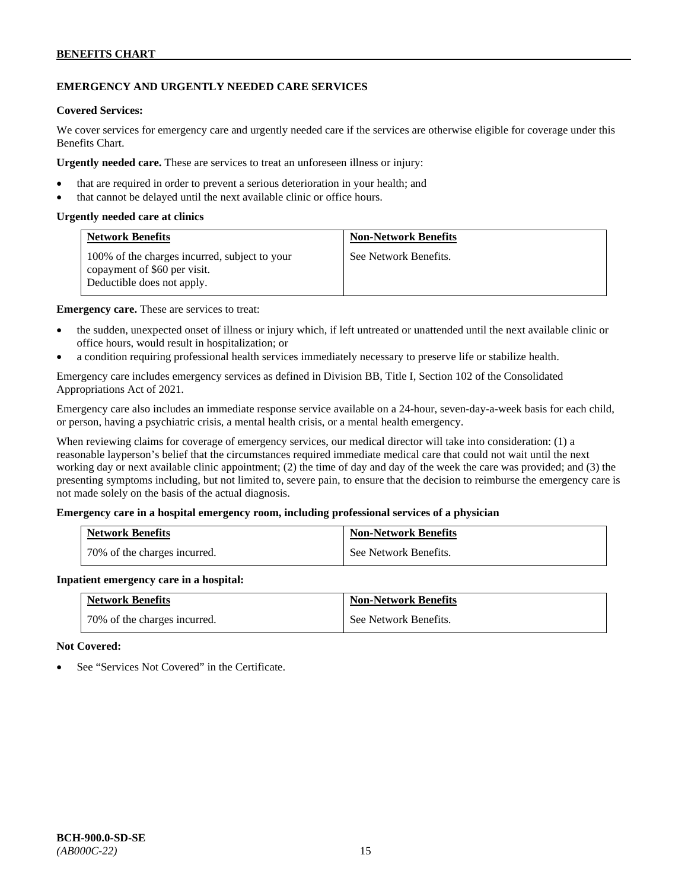# **EMERGENCY AND URGENTLY NEEDED CARE SERVICES**

### **Covered Services:**

We cover services for emergency care and urgently needed care if the services are otherwise eligible for coverage under this Benefits Chart.

**Urgently needed care.** These are services to treat an unforeseen illness or injury:

- that are required in order to prevent a serious deterioration in your health; and
- that cannot be delayed until the next available clinic or office hours.

### **Urgently needed care at clinics**

| <b>Network Benefits</b>                                                                                     | <b>Non-Network Benefits</b> |
|-------------------------------------------------------------------------------------------------------------|-----------------------------|
| 100% of the charges incurred, subject to your<br>copayment of \$60 per visit.<br>Deductible does not apply. | See Network Benefits.       |

**Emergency care.** These are services to treat:

- the sudden, unexpected onset of illness or injury which, if left untreated or unattended until the next available clinic or office hours, would result in hospitalization; or
- a condition requiring professional health services immediately necessary to preserve life or stabilize health.

Emergency care includes emergency services as defined in Division BB, Title I, Section 102 of the Consolidated Appropriations Act of 2021.

Emergency care also includes an immediate response service available on a 24-hour, seven-day-a-week basis for each child, or person, having a psychiatric crisis, a mental health crisis, or a mental health emergency.

When reviewing claims for coverage of emergency services, our medical director will take into consideration: (1) a reasonable layperson's belief that the circumstances required immediate medical care that could not wait until the next working day or next available clinic appointment; (2) the time of day and day of the week the care was provided; and (3) the presenting symptoms including, but not limited to, severe pain, to ensure that the decision to reimburse the emergency care is not made solely on the basis of the actual diagnosis.

### **Emergency care in a hospital emergency room, including professional services of a physician**

| <b>Network Benefits</b>      | <b>Non-Network Benefits</b> |
|------------------------------|-----------------------------|
| 70% of the charges incurred. | See Network Benefits.       |

#### **Inpatient emergency care in a hospital:**

| <b>Network Benefits</b>      | <b>Non-Network Benefits</b> |
|------------------------------|-----------------------------|
| 70% of the charges incurred. | See Network Benefits.       |

### **Not Covered:**

See "Services Not Covered" in the Certificate.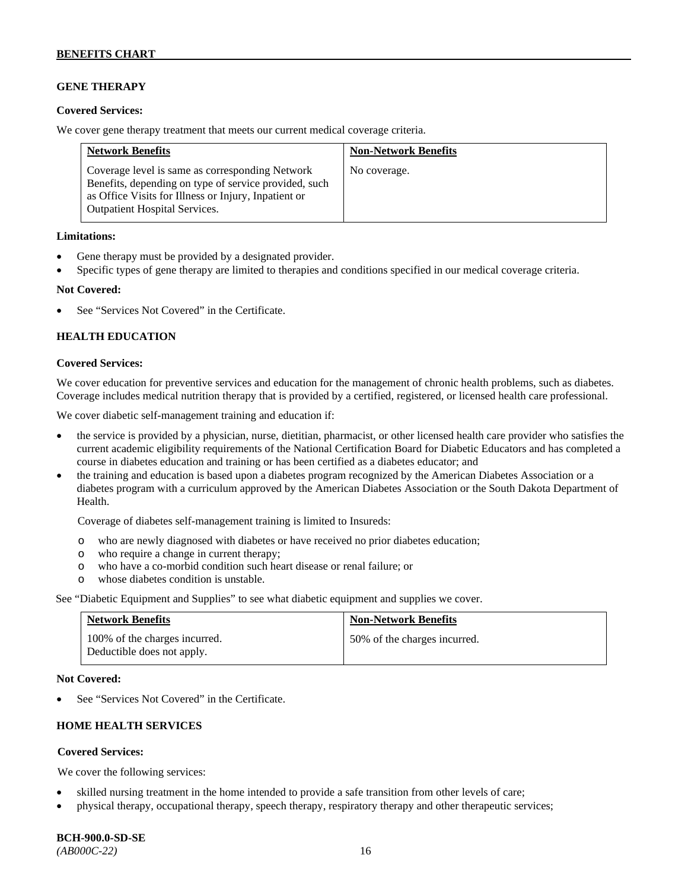## **GENE THERAPY**

### **Covered Services:**

We cover gene therapy treatment that meets our current medical coverage criteria.

| <b>Network Benefits</b>                                                                                                                                                                                  | <b>Non-Network Benefits</b> |
|----------------------------------------------------------------------------------------------------------------------------------------------------------------------------------------------------------|-----------------------------|
| Coverage level is same as corresponding Network<br>Benefits, depending on type of service provided, such<br>as Office Visits for Illness or Injury, Inpatient or<br><b>Outpatient Hospital Services.</b> | No coverage.                |

### **Limitations:**

- Gene therapy must be provided by a designated provider.
- Specific types of gene therapy are limited to therapies and conditions specified in our medical coverage criteria.

### **Not Covered:**

See "Services Not Covered" in the Certificate.

### **HEALTH EDUCATION**

### **Covered Services:**

We cover education for preventive services and education for the management of chronic health problems, such as diabetes. Coverage includes medical nutrition therapy that is provided by a certified, registered, or licensed health care professional.

We cover diabetic self-management training and education if:

- the service is provided by a physician, nurse, dietitian, pharmacist, or other licensed health care provider who satisfies the current academic eligibility requirements of the National Certification Board for Diabetic Educators and has completed a course in diabetes education and training or has been certified as a diabetes educator; and
- the training and education is based upon a diabetes program recognized by the American Diabetes Association or a diabetes program with a curriculum approved by the American Diabetes Association or the South Dakota Department of Health.

Coverage of diabetes self-management training is limited to Insureds:

- o who are newly diagnosed with diabetes or have received no prior diabetes education;
- o who require a change in current therapy;<br>o who have a co-morbid condition such heal
- who have a co-morbid condition such heart disease or renal failure; or
- o whose diabetes condition is unstable.

See "Diabetic Equipment and Supplies" to see what diabetic equipment and supplies we cover.

| <b>Network Benefits</b>                                     | <b>Non-Network Benefits</b>  |
|-------------------------------------------------------------|------------------------------|
| 100% of the charges incurred.<br>Deductible does not apply. | 50% of the charges incurred. |

#### **Not Covered:**

See "Services Not Covered" in the Certificate.

# **HOME HEALTH SERVICES**

### **Covered Services:**

We cover the following services:

- skilled nursing treatment in the home intended to provide a safe transition from other levels of care;
- physical therapy, occupational therapy, speech therapy, respiratory therapy and other therapeutic services;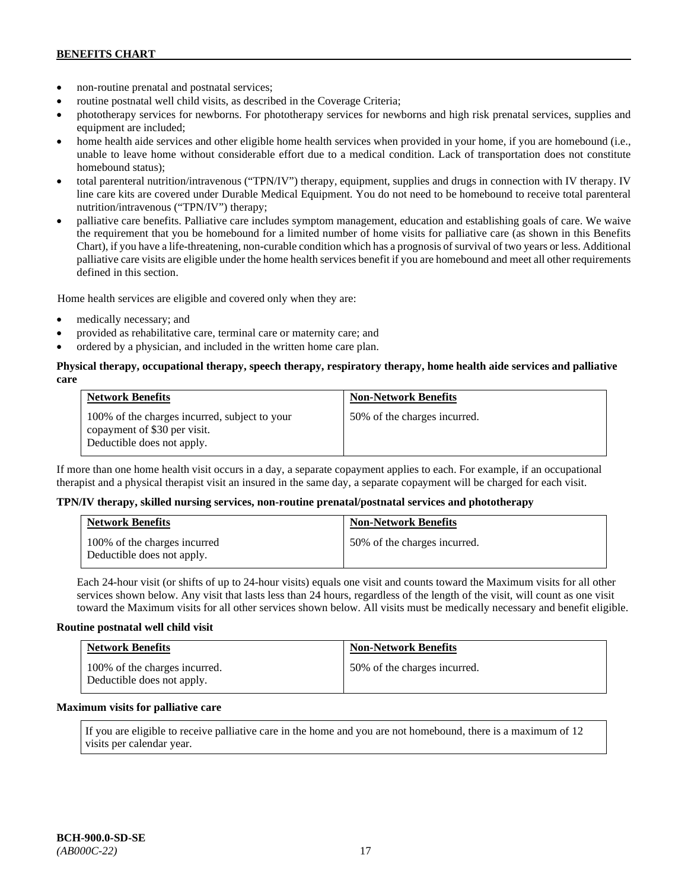- non-routine prenatal and postnatal services;
- routine postnatal well child visits, as described in the Coverage Criteria;
- phototherapy services for newborns. For phototherapy services for newborns and high risk prenatal services, supplies and equipment are included;
- home health aide services and other eligible home health services when provided in your home, if you are homebound (i.e., unable to leave home without considerable effort due to a medical condition. Lack of transportation does not constitute homebound status);
- total parenteral nutrition/intravenous ("TPN/IV") therapy, equipment, supplies and drugs in connection with IV therapy. IV line care kits are covered under Durable Medical Equipment. You do not need to be homebound to receive total parenteral nutrition/intravenous ("TPN/IV") therapy;
- palliative care benefits. Palliative care includes symptom management, education and establishing goals of care. We waive the requirement that you be homebound for a limited number of home visits for palliative care (as shown in this Benefits Chart), if you have a life-threatening, non-curable condition which has a prognosis of survival of two years or less. Additional palliative care visits are eligible under the home health services benefit if you are homebound and meet all other requirements defined in this section.

Home health services are eligible and covered only when they are:

- medically necessary; and
- provided as rehabilitative care, terminal care or maternity care; and
- ordered by a physician, and included in the written home care plan.

### **Physical therapy, occupational therapy, speech therapy, respiratory therapy, home health aide services and palliative care**

| <b>Network Benefits</b>                                                                                     | <b>Non-Network Benefits</b>  |
|-------------------------------------------------------------------------------------------------------------|------------------------------|
| 100% of the charges incurred, subject to your<br>copayment of \$30 per visit.<br>Deductible does not apply. | 50% of the charges incurred. |

If more than one home health visit occurs in a day, a separate copayment applies to each. For example, if an occupational therapist and a physical therapist visit an insured in the same day, a separate copayment will be charged for each visit.

### **TPN/IV therapy, skilled nursing services, non-routine prenatal/postnatal services and phototherapy**

| <b>Network Benefits</b>                                    | <b>Non-Network Benefits</b>  |
|------------------------------------------------------------|------------------------------|
| 100% of the charges incurred<br>Deductible does not apply. | 50% of the charges incurred. |

Each 24-hour visit (or shifts of up to 24-hour visits) equals one visit and counts toward the Maximum visits for all other services shown below. Any visit that lasts less than 24 hours, regardless of the length of the visit, will count as one visit toward the Maximum visits for all other services shown below. All visits must be medically necessary and benefit eligible.

### **Routine postnatal well child visit**

| <b>Network Benefits</b>                                     | <b>Non-Network Benefits</b>  |
|-------------------------------------------------------------|------------------------------|
| 100% of the charges incurred.<br>Deductible does not apply. | 50% of the charges incurred. |

#### **Maximum visits for palliative care**

If you are eligible to receive palliative care in the home and you are not homebound, there is a maximum of 12 visits per calendar year.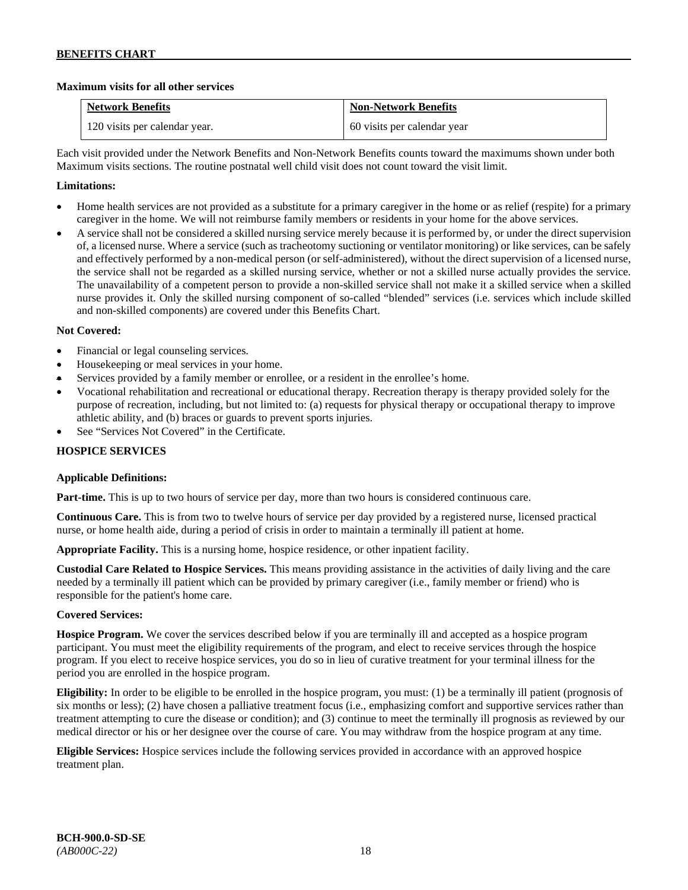### **Maximum visits for all other services**

| <b>Network Benefits</b>       | <b>Non-Network Benefits</b> |
|-------------------------------|-----------------------------|
| 120 visits per calendar year. | 60 visits per calendar year |

Each visit provided under the Network Benefits and Non-Network Benefits counts toward the maximums shown under both Maximum visits sections. The routine postnatal well child visit does not count toward the visit limit.

## **Limitations:**

- Home health services are not provided as a substitute for a primary caregiver in the home or as relief (respite) for a primary caregiver in the home. We will not reimburse family members or residents in your home for the above services.
- A service shall not be considered a skilled nursing service merely because it is performed by, or under the direct supervision of, a licensed nurse. Where a service (such as tracheotomy suctioning or ventilator monitoring) or like services, can be safely and effectively performed by a non-medical person (or self-administered), without the direct supervision of a licensed nurse, the service shall not be regarded as a skilled nursing service, whether or not a skilled nurse actually provides the service. The unavailability of a competent person to provide a non-skilled service shall not make it a skilled service when a skilled nurse provides it. Only the skilled nursing component of so-called "blended" services (i.e. services which include skilled and non-skilled components) are covered under this Benefits Chart.

### **Not Covered:**

- Financial or legal counseling services.
- Housekeeping or meal services in your home.
- Services provided by a family member or enrollee, or a resident in the enrollee's home.
- Vocational rehabilitation and recreational or educational therapy. Recreation therapy is therapy provided solely for the purpose of recreation, including, but not limited to: (a) requests for physical therapy or occupational therapy to improve athletic ability, and (b) braces or guards to prevent sports injuries.
- See "Services Not Covered" in the Certificate.

## **HOSPICE SERVICES**

### **Applicable Definitions:**

**Part-time.** This is up to two hours of service per day, more than two hours is considered continuous care.

**Continuous Care.** This is from two to twelve hours of service per day provided by a registered nurse, licensed practical nurse, or home health aide, during a period of crisis in order to maintain a terminally ill patient at home.

**Appropriate Facility.** This is a nursing home, hospice residence, or other inpatient facility.

**Custodial Care Related to Hospice Services.** This means providing assistance in the activities of daily living and the care needed by a terminally ill patient which can be provided by primary caregiver (i.e., family member or friend) who is responsible for the patient's home care.

### **Covered Services:**

**Hospice Program.** We cover the services described below if you are terminally ill and accepted as a hospice program participant. You must meet the eligibility requirements of the program, and elect to receive services through the hospice program. If you elect to receive hospice services, you do so in lieu of curative treatment for your terminal illness for the period you are enrolled in the hospice program.

**Eligibility:** In order to be eligible to be enrolled in the hospice program, you must: (1) be a terminally ill patient (prognosis of six months or less); (2) have chosen a palliative treatment focus (i.e., emphasizing comfort and supportive services rather than treatment attempting to cure the disease or condition); and (3) continue to meet the terminally ill prognosis as reviewed by our medical director or his or her designee over the course of care. You may withdraw from the hospice program at any time.

**Eligible Services:** Hospice services include the following services provided in accordance with an approved hospice treatment plan.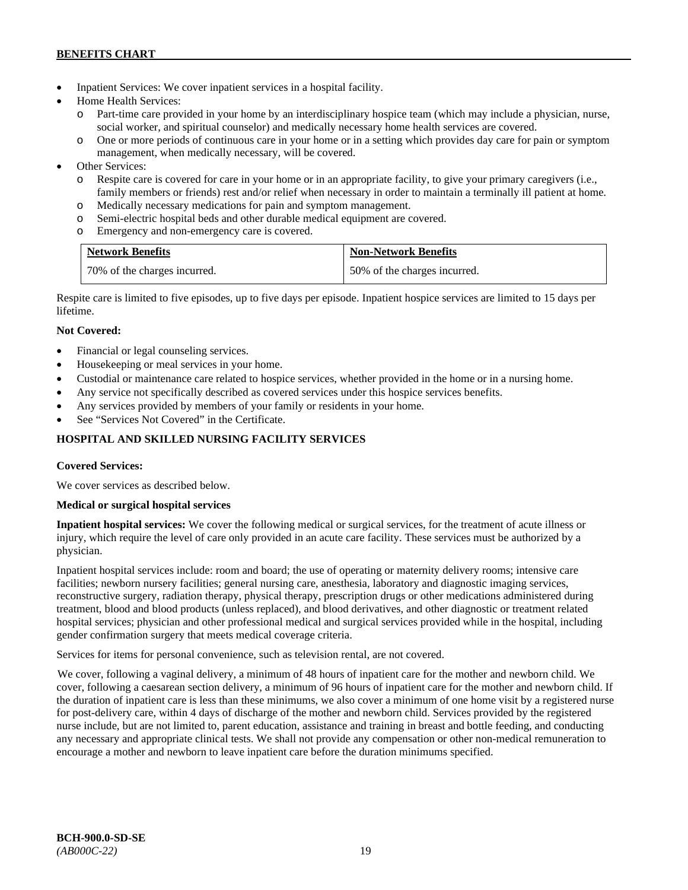- Inpatient Services: We cover inpatient services in a hospital facility.
- Home Health Services:
	- o Part-time care provided in your home by an interdisciplinary hospice team (which may include a physician, nurse, social worker, and spiritual counselor) and medically necessary home health services are covered.
	- o One or more periods of continuous care in your home or in a setting which provides day care for pain or symptom management, when medically necessary, will be covered.
- Other Services:
	- o Respite care is covered for care in your home or in an appropriate facility, to give your primary caregivers (i.e., family members or friends) rest and/or relief when necessary in order to maintain a terminally ill patient at home*.*
	- o Medically necessary medications for pain and symptom management.
	- o Semi-electric hospital beds and other durable medical equipment are covered.
	- o Emergency and non-emergency care is covered.

| <b>Network Benefits</b>      | <b>Non-Network Benefits</b>  |
|------------------------------|------------------------------|
| 70% of the charges incurred. | 50% of the charges incurred. |

Respite care is limited to five episodes, up to five days per episode. Inpatient hospice services are limited to 15 days per lifetime.

# **Not Covered:**

- Financial or legal counseling services.
- Housekeeping or meal services in your home.
- Custodial or maintenance care related to hospice services, whether provided in the home or in a nursing home.
- Any service not specifically described as covered services under this hospice services benefits.
- Any services provided by members of your family or residents in your home.
- See "Services Not Covered" in the Certificate.

# **HOSPITAL AND SKILLED NURSING FACILITY SERVICES**

### **Covered Services:**

We cover services as described below.

### **Medical or surgical hospital services**

**Inpatient hospital services:** We cover the following medical or surgical services, for the treatment of acute illness or injury, which require the level of care only provided in an acute care facility. These services must be authorized by a physician.

Inpatient hospital services include: room and board; the use of operating or maternity delivery rooms; intensive care facilities; newborn nursery facilities; general nursing care, anesthesia, laboratory and diagnostic imaging services, reconstructive surgery, radiation therapy, physical therapy, prescription drugs or other medications administered during treatment, blood and blood products (unless replaced), and blood derivatives, and other diagnostic or treatment related hospital services; physician and other professional medical and surgical services provided while in the hospital, including gender confirmation surgery that meets medical coverage criteria.

Services for items for personal convenience, such as television rental, are not covered.

We cover, following a vaginal delivery, a minimum of 48 hours of inpatient care for the mother and newborn child. We cover, following a caesarean section delivery, a minimum of 96 hours of inpatient care for the mother and newborn child. If the duration of inpatient care is less than these minimums, we also cover a minimum of one home visit by a registered nurse for post-delivery care, within 4 days of discharge of the mother and newborn child. Services provided by the registered nurse include, but are not limited to, parent education, assistance and training in breast and bottle feeding, and conducting any necessary and appropriate clinical tests. We shall not provide any compensation or other non-medical remuneration to encourage a mother and newborn to leave inpatient care before the duration minimums specified.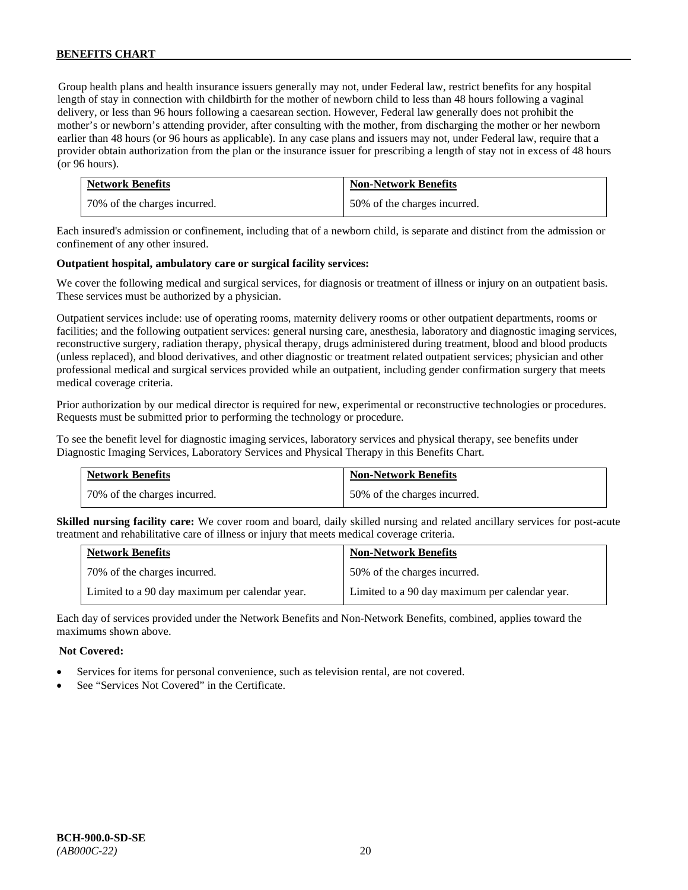Group health plans and health insurance issuers generally may not, under Federal law, restrict benefits for any hospital length of stay in connection with childbirth for the mother of newborn child to less than 48 hours following a vaginal delivery, or less than 96 hours following a caesarean section. However, Federal law generally does not prohibit the mother's or newborn's attending provider, after consulting with the mother, from discharging the mother or her newborn earlier than 48 hours (or 96 hours as applicable). In any case plans and issuers may not, under Federal law, require that a provider obtain authorization from the plan or the insurance issuer for prescribing a length of stay not in excess of 48 hours (or 96 hours).

| <b>Network Benefits</b>      | <b>Non-Network Benefits</b>  |
|------------------------------|------------------------------|
| 70% of the charges incurred. | 50% of the charges incurred. |

Each insured's admission or confinement, including that of a newborn child, is separate and distinct from the admission or confinement of any other insured.

### **Outpatient hospital, ambulatory care or surgical facility services:**

We cover the following medical and surgical services, for diagnosis or treatment of illness or injury on an outpatient basis. These services must be authorized by a physician.

Outpatient services include: use of operating rooms, maternity delivery rooms or other outpatient departments, rooms or facilities; and the following outpatient services: general nursing care, anesthesia, laboratory and diagnostic imaging services, reconstructive surgery, radiation therapy, physical therapy, drugs administered during treatment, blood and blood products (unless replaced), and blood derivatives, and other diagnostic or treatment related outpatient services; physician and other professional medical and surgical services provided while an outpatient, including gender confirmation surgery that meets medical coverage criteria.

Prior authorization by our medical director is required for new, experimental or reconstructive technologies or procedures. Requests must be submitted prior to performing the technology or procedure.

To see the benefit level for diagnostic imaging services, laboratory services and physical therapy, see benefits under Diagnostic Imaging Services, Laboratory Services and Physical Therapy in this Benefits Chart.

| <b>Network Benefits</b>      | <b>Non-Network Benefits</b>  |
|------------------------------|------------------------------|
| 70% of the charges incurred. | 50% of the charges incurred. |

**Skilled nursing facility care:** We cover room and board, daily skilled nursing and related ancillary services for post-acute treatment and rehabilitative care of illness or injury that meets medical coverage criteria.

| <b>Network Benefits</b>                        | <b>Non-Network Benefits</b>                    |
|------------------------------------------------|------------------------------------------------|
| 70% of the charges incurred.                   | 50% of the charges incurred.                   |
| Limited to a 90 day maximum per calendar year. | Limited to a 90 day maximum per calendar year. |

Each day of services provided under the Network Benefits and Non-Network Benefits, combined, applies toward the maximums shown above.

#### **Not Covered:**

- Services for items for personal convenience, such as television rental, are not covered.
- See "Services Not Covered" in the Certificate.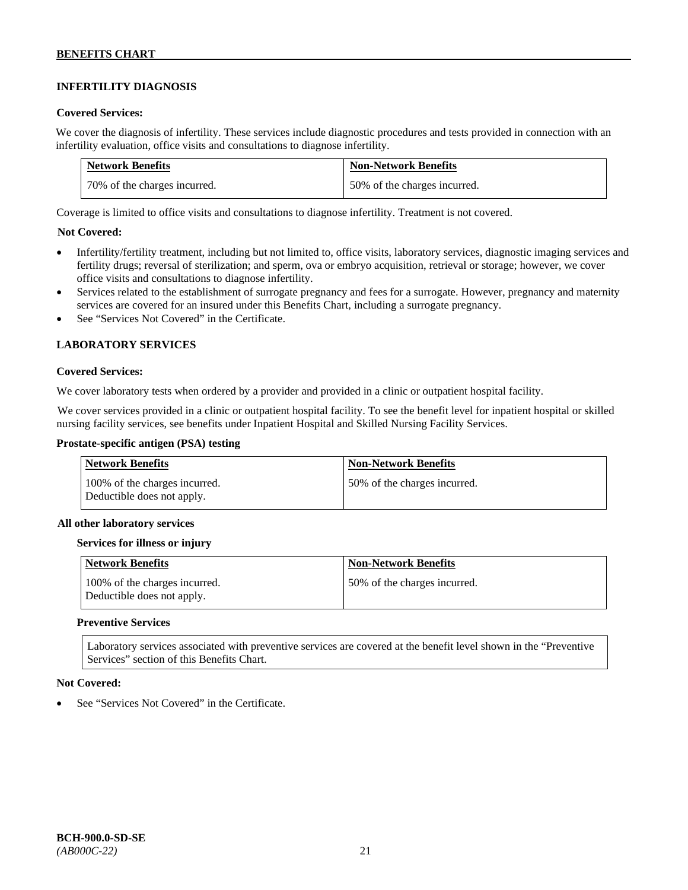# **INFERTILITY DIAGNOSIS**

### **Covered Services:**

We cover the diagnosis of infertility. These services include diagnostic procedures and tests provided in connection with an infertility evaluation, office visits and consultations to diagnose infertility.

| <b>Network Benefits</b>       | <b>Non-Network Benefits</b>  |
|-------------------------------|------------------------------|
| 170% of the charges incurred. | 50% of the charges incurred. |

Coverage is limited to office visits and consultations to diagnose infertility. Treatment is not covered.

### **Not Covered:**

- Infertility/fertility treatment, including but not limited to, office visits, laboratory services, diagnostic imaging services and fertility drugs; reversal of sterilization; and sperm, ova or embryo acquisition, retrieval or storage; however, we cover office visits and consultations to diagnose infertility.
- Services related to the establishment of surrogate pregnancy and fees for a surrogate. However, pregnancy and maternity services are covered for an insured under this Benefits Chart, including a surrogate pregnancy.
- See "Services Not Covered" in the Certificate.

### **LABORATORY SERVICES**

#### **Covered Services:**

We cover laboratory tests when ordered by a provider and provided in a clinic or outpatient hospital facility.

We cover services provided in a clinic or outpatient hospital facility. To see the benefit level for inpatient hospital or skilled nursing facility services, see benefits under Inpatient Hospital and Skilled Nursing Facility Services.

### **Prostate-specific antigen (PSA) testing**

| Network Benefits                                            | <b>Non-Network Benefits</b>  |
|-------------------------------------------------------------|------------------------------|
| 100% of the charges incurred.<br>Deductible does not apply. | 50% of the charges incurred. |

#### **All other laboratory services**

#### **Services for illness or injury**

| <b>Network Benefits</b>                                     | <b>Non-Network Benefits</b>  |
|-------------------------------------------------------------|------------------------------|
| 100% of the charges incurred.<br>Deductible does not apply. | 50% of the charges incurred. |

#### **Preventive Services**

Laboratory services associated with preventive services are covered at the benefit level shown in the "Preventive Services" section of this Benefits Chart.

### **Not Covered:**

See "Services Not Covered" in the Certificate.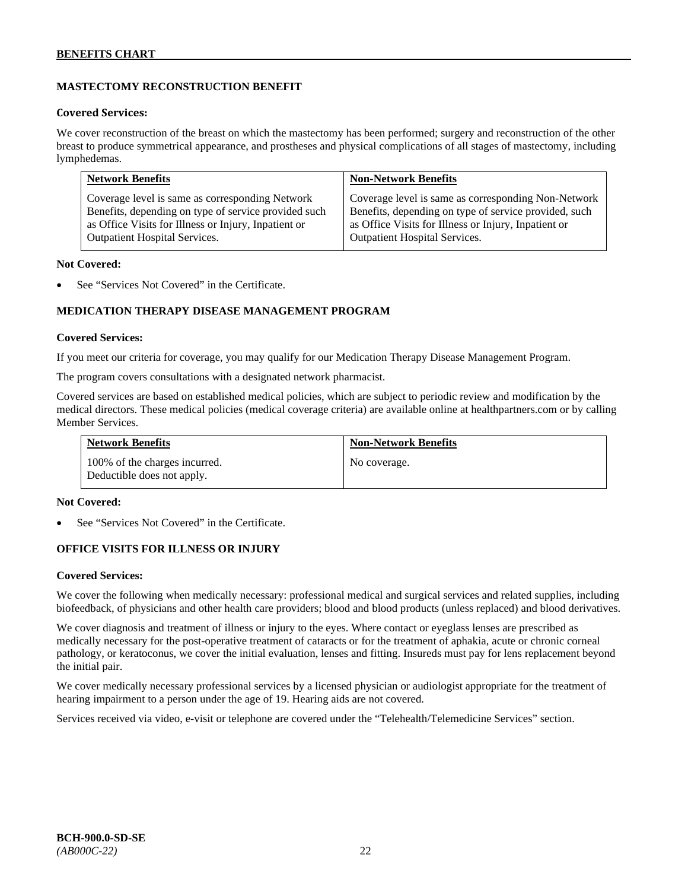# **MASTECTOMY RECONSTRUCTION BENEFIT**

### **Covered Services:**

We cover reconstruction of the breast on which the mastectomy has been performed; surgery and reconstruction of the other breast to produce symmetrical appearance, and prostheses and physical complications of all stages of mastectomy, including lymphedemas.

| <b>Network Benefits</b>                              | <b>Non-Network Benefits</b>                           |
|------------------------------------------------------|-------------------------------------------------------|
| Coverage level is same as corresponding Network      | Coverage level is same as corresponding Non-Network   |
| Benefits, depending on type of service provided such | Benefits, depending on type of service provided, such |
| as Office Visits for Illness or Injury, Inpatient or | as Office Visits for Illness or Injury, Inpatient or  |
| Outpatient Hospital Services.                        | Outpatient Hospital Services.                         |

#### **Not Covered:**

See "Services Not Covered" in the Certificate.

### **MEDICATION THERAPY DISEASE MANAGEMENT PROGRAM**

### **Covered Services:**

If you meet our criteria for coverage, you may qualify for our Medication Therapy Disease Management Program.

The program covers consultations with a designated network pharmacist.

Covered services are based on established medical policies, which are subject to periodic review and modification by the medical directors. These medical policies (medical coverage criteria) are available online at [healthpartners.com](http://www.healthpartners.com/) or by calling Member Services.

| <b>Network Benefits</b>                                     | <b>Non-Network Benefits</b> |
|-------------------------------------------------------------|-----------------------------|
| 100% of the charges incurred.<br>Deductible does not apply. | No coverage.                |

#### **Not Covered:**

See "Services Not Covered" in the Certificate.

### **OFFICE VISITS FOR ILLNESS OR INJURY**

#### **Covered Services:**

We cover the following when medically necessary: professional medical and surgical services and related supplies, including biofeedback, of physicians and other health care providers; blood and blood products (unless replaced) and blood derivatives.

We cover diagnosis and treatment of illness or injury to the eyes. Where contact or eyeglass lenses are prescribed as medically necessary for the post-operative treatment of cataracts or for the treatment of aphakia, acute or chronic corneal pathology, or keratoconus, we cover the initial evaluation, lenses and fitting. Insureds must pay for lens replacement beyond the initial pair.

We cover medically necessary professional services by a licensed physician or audiologist appropriate for the treatment of hearing impairment to a person under the age of 19. Hearing aids are not covered.

Services received via video, e-visit or telephone are covered under the "Telehealth/Telemedicine Services" section.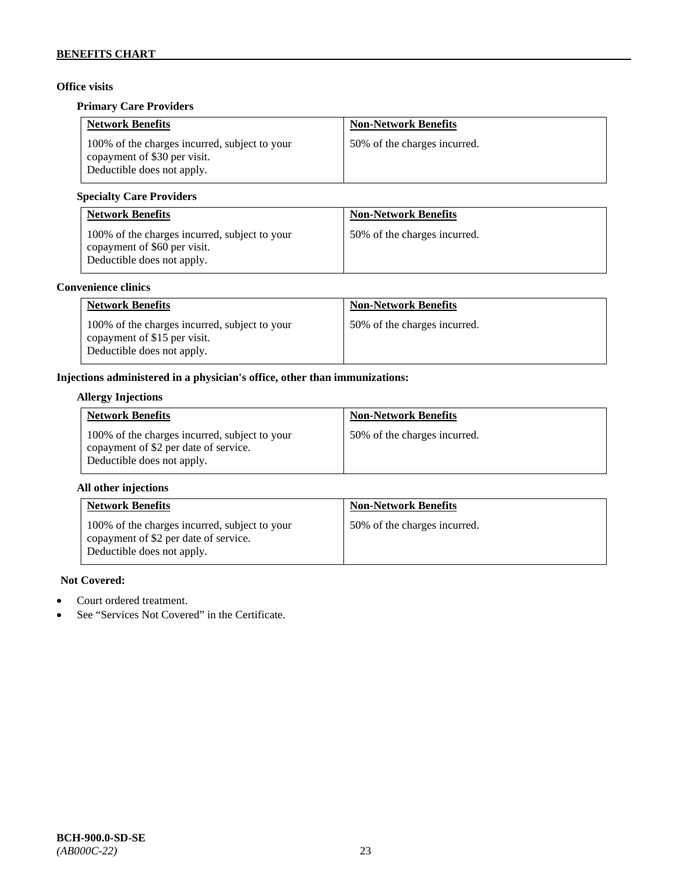# **Office visits**

### **Primary Care Providers**

| <b>Network Benefits</b>                                                                                     | <b>Non-Network Benefits</b>  |
|-------------------------------------------------------------------------------------------------------------|------------------------------|
| 100% of the charges incurred, subject to your<br>copayment of \$30 per visit.<br>Deductible does not apply. | 50% of the charges incurred. |

# **Specialty Care Providers**

| <b>Network Benefits</b>                                                                                     | <b>Non-Network Benefits</b>  |
|-------------------------------------------------------------------------------------------------------------|------------------------------|
| 100% of the charges incurred, subject to your<br>copayment of \$60 per visit.<br>Deductible does not apply. | 50% of the charges incurred. |

# **Convenience clinics**

| <b>Network Benefits</b>                                                                                     | <b>Non-Network Benefits</b>  |
|-------------------------------------------------------------------------------------------------------------|------------------------------|
| 100% of the charges incurred, subject to your<br>copayment of \$15 per visit.<br>Deductible does not apply. | 50% of the charges incurred. |

# **Injections administered in a physician's office, other than immunizations:**

### **Allergy Injections**

| <b>Network Benefits</b>                                                                                              | <b>Non-Network Benefits</b>  |
|----------------------------------------------------------------------------------------------------------------------|------------------------------|
| 100% of the charges incurred, subject to your<br>copayment of \$2 per date of service.<br>Deductible does not apply. | 50% of the charges incurred. |

### **All other injections**

| <b>Network Benefits</b>                                                                                              | <b>Non-Network Benefits</b>  |
|----------------------------------------------------------------------------------------------------------------------|------------------------------|
| 100% of the charges incurred, subject to your<br>copayment of \$2 per date of service.<br>Deductible does not apply. | 50% of the charges incurred. |

# **Not Covered:**

- Court ordered treatment.
- See "Services Not Covered" in the Certificate.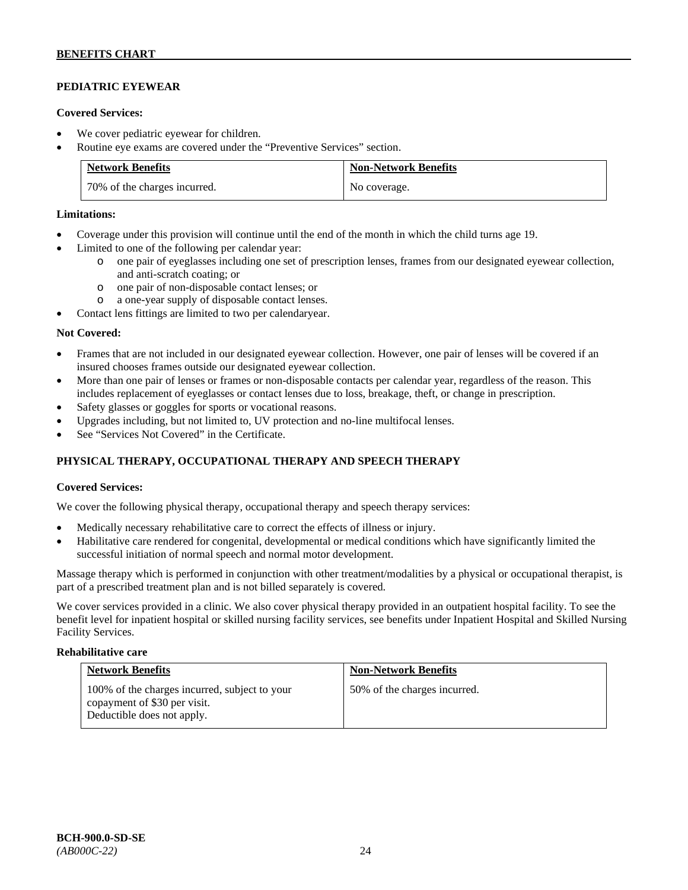# **PEDIATRIC EYEWEAR**

### **Covered Services:**

- We cover pediatric eyewear for children.
- Routine eye exams are covered under the "Preventive Services" section.

| <b>Network Benefits</b>      | <b>Non-Network Benefits</b> |
|------------------------------|-----------------------------|
| 70% of the charges incurred. | No coverage.                |

### **Limitations:**

- Coverage under this provision will continue until the end of the month in which the child turns age 19.
- Limited to one of the following per calendar year:
	- o one pair of eyeglasses including one set of prescription lenses, frames from our designated eyewear collection, and anti-scratch coating; or
	- o one pair of non-disposable contact lenses; or
	- a one-year supply of disposable contact lenses.
- Contact lens fittings are limited to two per calendaryear.

### **Not Covered:**

- Frames that are not included in our designated eyewear collection. However, one pair of lenses will be covered if an insured chooses frames outside our designated eyewear collection.
- More than one pair of lenses or frames or non-disposable contacts per calendar year, regardless of the reason. This includes replacement of eyeglasses or contact lenses due to loss, breakage, theft, or change in prescription.
- Safety glasses or goggles for sports or vocational reasons.
- Upgrades including, but not limited to, UV protection and no-line multifocal lenses.
- See "Services Not Covered" in the Certificate.

# **PHYSICAL THERAPY, OCCUPATIONAL THERAPY AND SPEECH THERAPY**

### **Covered Services:**

We cover the following physical therapy, occupational therapy and speech therapy services:

- Medically necessary rehabilitative care to correct the effects of illness or injury.
- Habilitative care rendered for congenital, developmental or medical conditions which have significantly limited the successful initiation of normal speech and normal motor development.

Massage therapy which is performed in conjunction with other treatment/modalities by a physical or occupational therapist, is part of a prescribed treatment plan and is not billed separately is covered.

We cover services provided in a clinic. We also cover physical therapy provided in an outpatient hospital facility. To see the benefit level for inpatient hospital or skilled nursing facility services, see benefits under Inpatient Hospital and Skilled Nursing Facility Services.

#### **Rehabilitative care**

| <b>Network Benefits</b>                                                                                     | <b>Non-Network Benefits</b>  |
|-------------------------------------------------------------------------------------------------------------|------------------------------|
| 100% of the charges incurred, subject to your<br>copayment of \$30 per visit.<br>Deductible does not apply. | 50% of the charges incurred. |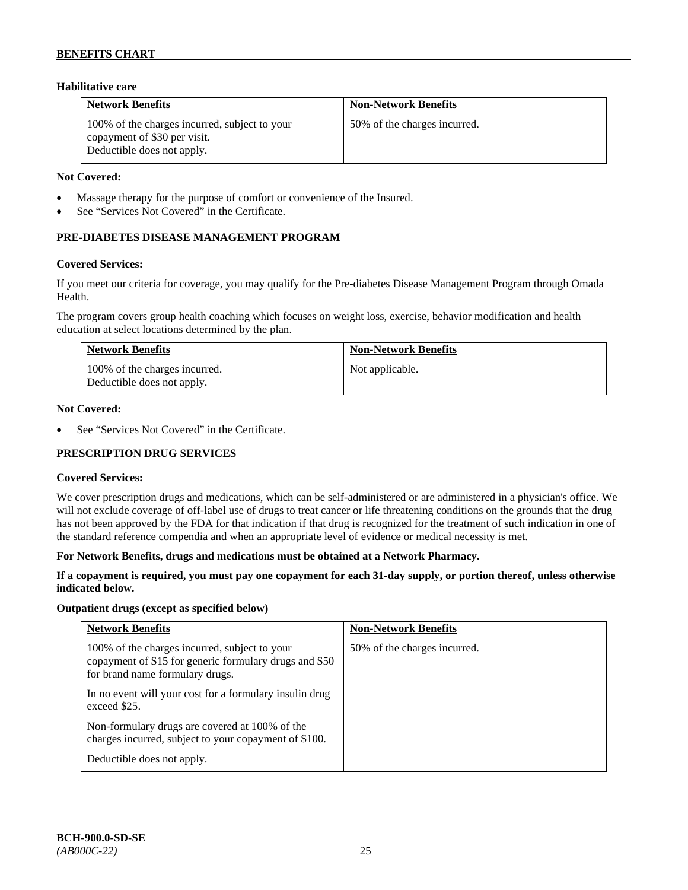### **Habilitative care**

| <b>Network Benefits</b>                                                                                     | <b>Non-Network Benefits</b>  |
|-------------------------------------------------------------------------------------------------------------|------------------------------|
| 100% of the charges incurred, subject to your<br>copayment of \$30 per visit.<br>Deductible does not apply. | 50% of the charges incurred. |

### **Not Covered:**

- Massage therapy for the purpose of comfort or convenience of the Insured.
- See "Services Not Covered" in the Certificate.

## **PRE-DIABETES DISEASE MANAGEMENT PROGRAM**

#### **Covered Services:**

If you meet our criteria for coverage, you may qualify for the Pre-diabetes Disease Management Program through Omada Health.

The program covers group health coaching which focuses on weight loss, exercise, behavior modification and health education at select locations determined by the plan.

| <b>Network Benefits</b>                                     | <b>Non-Network Benefits</b> |
|-------------------------------------------------------------|-----------------------------|
| 100% of the charges incurred.<br>Deductible does not apply. | Not applicable.             |

#### **Not Covered:**

See "Services Not Covered" in the Certificate.

### **PRESCRIPTION DRUG SERVICES**

#### **Covered Services:**

We cover prescription drugs and medications, which can be self-administered or are administered in a physician's office. We will not exclude coverage of off-label use of drugs to treat cancer or life threatening conditions on the grounds that the drug has not been approved by the FDA for that indication if that drug is recognized for the treatment of such indication in one of the standard reference compendia and when an appropriate level of evidence or medical necessity is met.

#### **For Network Benefits, drugs and medications must be obtained at a Network Pharmacy.**

### **If a copayment is required, you must pay one copayment for each 31-day supply, or portion thereof, unless otherwise indicated below.**

#### **Outpatient drugs (except as specified below)**

| <b>Network Benefits</b>                                                                                                                    | <b>Non-Network Benefits</b>  |
|--------------------------------------------------------------------------------------------------------------------------------------------|------------------------------|
| 100% of the charges incurred, subject to your<br>copayment of \$15 for generic formulary drugs and \$50<br>for brand name formulary drugs. | 50% of the charges incurred. |
| In no event will your cost for a formulary insulin drug<br>exceed \$25.                                                                    |                              |
| Non-formulary drugs are covered at 100% of the<br>charges incurred, subject to your copayment of \$100.                                    |                              |
| Deductible does not apply.                                                                                                                 |                              |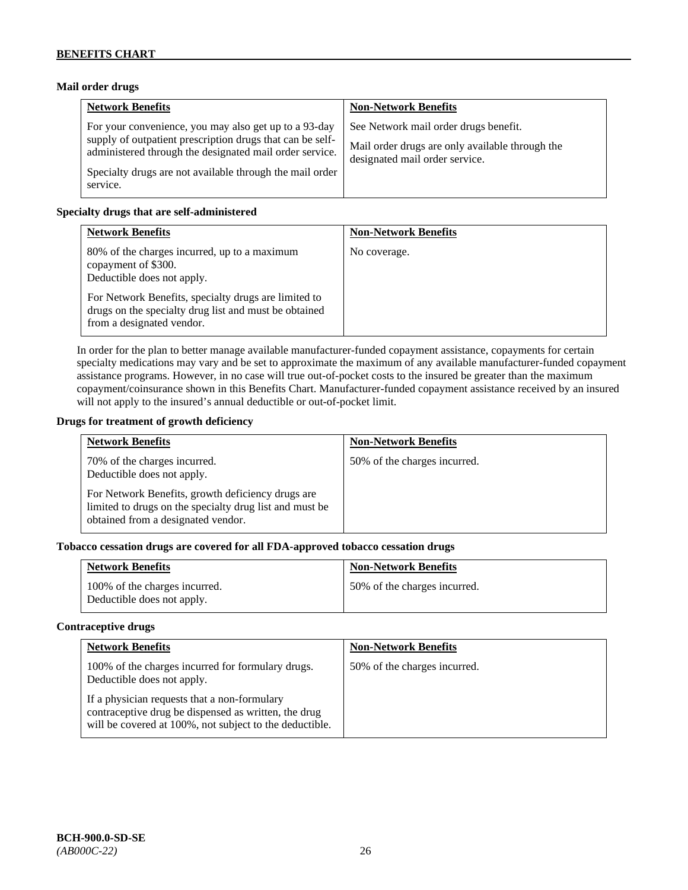### **Mail order drugs**

| <b>Network Benefits</b>                                                                                                                                                                                                                               | <b>Non-Network Benefits</b>                                                                                                |
|-------------------------------------------------------------------------------------------------------------------------------------------------------------------------------------------------------------------------------------------------------|----------------------------------------------------------------------------------------------------------------------------|
| For your convenience, you may also get up to a 93-day<br>supply of outpatient prescription drugs that can be self-<br>administered through the designated mail order service.<br>Specialty drugs are not available through the mail order<br>service. | See Network mail order drugs benefit.<br>Mail order drugs are only available through the<br>designated mail order service. |

### **Specialty drugs that are self-administered**

| <b>Network Benefits</b>                                                                                                                                                                                                                         | <b>Non-Network Benefits</b> |
|-------------------------------------------------------------------------------------------------------------------------------------------------------------------------------------------------------------------------------------------------|-----------------------------|
| 80% of the charges incurred, up to a maximum<br>copayment of \$300.<br>Deductible does not apply.<br>For Network Benefits, specialty drugs are limited to<br>drugs on the specialty drug list and must be obtained<br>from a designated vendor. | No coverage.                |

In order for the plan to better manage available manufacturer-funded copayment assistance, copayments for certain specialty medications may vary and be set to approximate the maximum of any available manufacturer-funded copayment assistance programs. However, in no case will true out-of-pocket costs to the insured be greater than the maximum copayment/coinsurance shown in this Benefits Chart. Manufacturer-funded copayment assistance received by an insured will not apply to the insured's annual deductible or out-of-pocket limit.

### **Drugs for treatment of growth deficiency**

| <b>Network Benefits</b>                                                                                                                                                                                          | <b>Non-Network Benefits</b>  |
|------------------------------------------------------------------------------------------------------------------------------------------------------------------------------------------------------------------|------------------------------|
| 70% of the charges incurred.<br>Deductible does not apply.<br>For Network Benefits, growth deficiency drugs are<br>limited to drugs on the specialty drug list and must be<br>obtained from a designated vendor. | 50% of the charges incurred. |
|                                                                                                                                                                                                                  |                              |

# **Tobacco cessation drugs are covered for all FDA-approved tobacco cessation drugs**

| <b>Network Benefits</b>                                     | <b>Non-Network Benefits</b>  |
|-------------------------------------------------------------|------------------------------|
| 100% of the charges incurred.<br>Deductible does not apply. | 50% of the charges incurred. |

#### **Contraceptive drugs**

| <b>Network Benefits</b>                                                                                                                                         | <b>Non-Network Benefits</b>  |
|-----------------------------------------------------------------------------------------------------------------------------------------------------------------|------------------------------|
| 100% of the charges incurred for formulary drugs.<br>Deductible does not apply.                                                                                 | 50% of the charges incurred. |
| If a physician requests that a non-formulary<br>contraceptive drug be dispensed as written, the drug<br>will be covered at 100%, not subject to the deductible. |                              |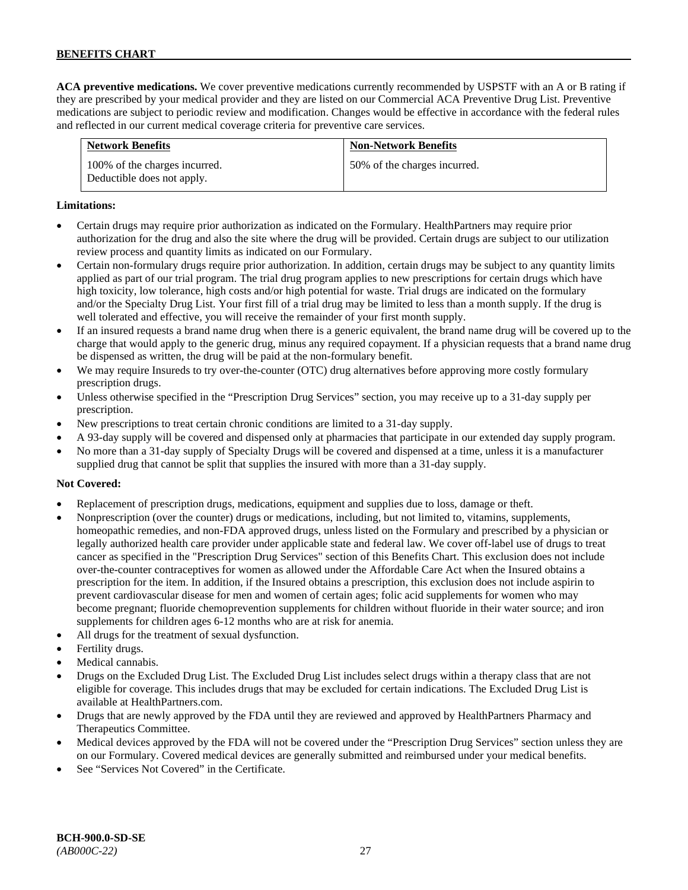**ACA preventive medications.** We cover preventive medications currently recommended by USPSTF with an A or B rating if they are prescribed by your medical provider and they are listed on our Commercial ACA Preventive Drug List. Preventive medications are subject to periodic review and modification. Changes would be effective in accordance with the federal rules and reflected in our current medical coverage criteria for preventive care services.

| <b>Network Benefits</b>                                     | <b>Non-Network Benefits</b>  |
|-------------------------------------------------------------|------------------------------|
| 100% of the charges incurred.<br>Deductible does not apply. | 50% of the charges incurred. |

## **Limitations:**

- Certain drugs may require prior authorization as indicated on the Formulary. HealthPartners may require prior authorization for the drug and also the site where the drug will be provided. Certain drugs are subject to our utilization review process and quantity limits as indicated on our Formulary.
- Certain non-formulary drugs require prior authorization. In addition, certain drugs may be subject to any quantity limits applied as part of our trial program. The trial drug program applies to new prescriptions for certain drugs which have high toxicity, low tolerance, high costs and/or high potential for waste. Trial drugs are indicated on the formulary and/or the Specialty Drug List. Your first fill of a trial drug may be limited to less than a month supply. If the drug is well tolerated and effective, you will receive the remainder of your first month supply.
- If an insured requests a brand name drug when there is a generic equivalent, the brand name drug will be covered up to the charge that would apply to the generic drug, minus any required copayment. If a physician requests that a brand name drug be dispensed as written, the drug will be paid at the non-formulary benefit.
- We may require Insureds to try over-the-counter (OTC) drug alternatives before approving more costly formulary prescription drugs.
- Unless otherwise specified in the "Prescription Drug Services" section, you may receive up to a 31-day supply per prescription.
- New prescriptions to treat certain chronic conditions are limited to a 31-day supply.
- A 93-day supply will be covered and dispensed only at pharmacies that participate in our extended day supply program.
- No more than a 31-day supply of Specialty Drugs will be covered and dispensed at a time, unless it is a manufacturer supplied drug that cannot be split that supplies the insured with more than a 31-day supply.

### **Not Covered:**

- Replacement of prescription drugs, medications, equipment and supplies due to loss, damage or theft.
- Nonprescription (over the counter) drugs or medications, including, but not limited to, vitamins, supplements, homeopathic remedies, and non-FDA approved drugs, unless listed on the Formulary and prescribed by a physician or legally authorized health care provider under applicable state and federal law. We cover off-label use of drugs to treat cancer as specified in the "Prescription Drug Services" section of this Benefits Chart. This exclusion does not include over-the-counter contraceptives for women as allowed under the Affordable Care Act when the Insured obtains a prescription for the item. In addition, if the Insured obtains a prescription, this exclusion does not include aspirin to prevent cardiovascular disease for men and women of certain ages; folic acid supplements for women who may become pregnant; fluoride chemoprevention supplements for children without fluoride in their water source; and iron supplements for children ages 6-12 months who are at risk for anemia.
- All drugs for the treatment of sexual dysfunction.
- Fertility drugs.
- Medical cannabis.
- Drugs on the Excluded Drug List. The Excluded Drug List includes select drugs within a therapy class that are not eligible for coverage. This includes drugs that may be excluded for certain indications. The Excluded Drug List is available a[t HealthPartners.com.](http://www.healthpartners.com/)
- Drugs that are newly approved by the FDA until they are reviewed and approved by HealthPartners Pharmacy and Therapeutics Committee.
- Medical devices approved by the FDA will not be covered under the "Prescription Drug Services" section unless they are on our Formulary. Covered medical devices are generally submitted and reimbursed under your medical benefits.
- See "Services Not Covered" in the Certificate.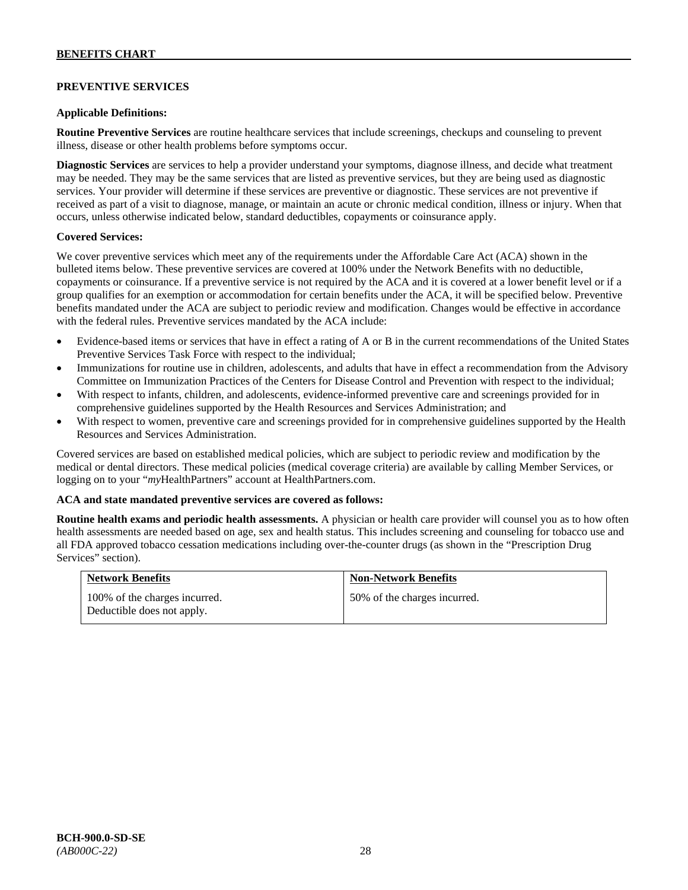# **PREVENTIVE SERVICES**

### **Applicable Definitions:**

**Routine Preventive Services** are routine healthcare services that include screenings, checkups and counseling to prevent illness, disease or other health problems before symptoms occur.

**Diagnostic Services** are services to help a provider understand your symptoms, diagnose illness, and decide what treatment may be needed. They may be the same services that are listed as preventive services, but they are being used as diagnostic services. Your provider will determine if these services are preventive or diagnostic. These services are not preventive if received as part of a visit to diagnose, manage, or maintain an acute or chronic medical condition, illness or injury. When that occurs, unless otherwise indicated below, standard deductibles, copayments or coinsurance apply.

### **Covered Services:**

We cover preventive services which meet any of the requirements under the Affordable Care Act (ACA) shown in the bulleted items below. These preventive services are covered at 100% under the Network Benefits with no deductible, copayments or coinsurance. If a preventive service is not required by the ACA and it is covered at a lower benefit level or if a group qualifies for an exemption or accommodation for certain benefits under the ACA, it will be specified below. Preventive benefits mandated under the ACA are subject to periodic review and modification. Changes would be effective in accordance with the federal rules. Preventive services mandated by the ACA include:

- Evidence-based items or services that have in effect a rating of A or B in the current recommendations of the United States Preventive Services Task Force with respect to the individual;
- Immunizations for routine use in children, adolescents, and adults that have in effect a recommendation from the Advisory Committee on Immunization Practices of the Centers for Disease Control and Prevention with respect to the individual;
- With respect to infants, children, and adolescents, evidence-informed preventive care and screenings provided for in comprehensive guidelines supported by the Health Resources and Services Administration; and
- With respect to women, preventive care and screenings provided for in comprehensive guidelines supported by the Health Resources and Services Administration.

Covered services are based on established medical policies, which are subject to periodic review and modification by the medical or dental directors. These medical policies (medical coverage criteria) are available by calling Member Services, or logging on to your "*my*HealthPartners" account at [HealthPartners.com.](http://www.healthpartners.com/)

#### **ACA and state mandated preventive services are covered as follows:**

**Routine health exams and periodic health assessments.** A physician or health care provider will counsel you as to how often health assessments are needed based on age, sex and health status. This includes screening and counseling for tobacco use and all FDA approved tobacco cessation medications including over-the-counter drugs (as shown in the "Prescription Drug Services" section).

| <b>Network Benefits</b>                                     | <b>Non-Network Benefits</b>  |
|-------------------------------------------------------------|------------------------------|
| 100% of the charges incurred.<br>Deductible does not apply. | 50% of the charges incurred. |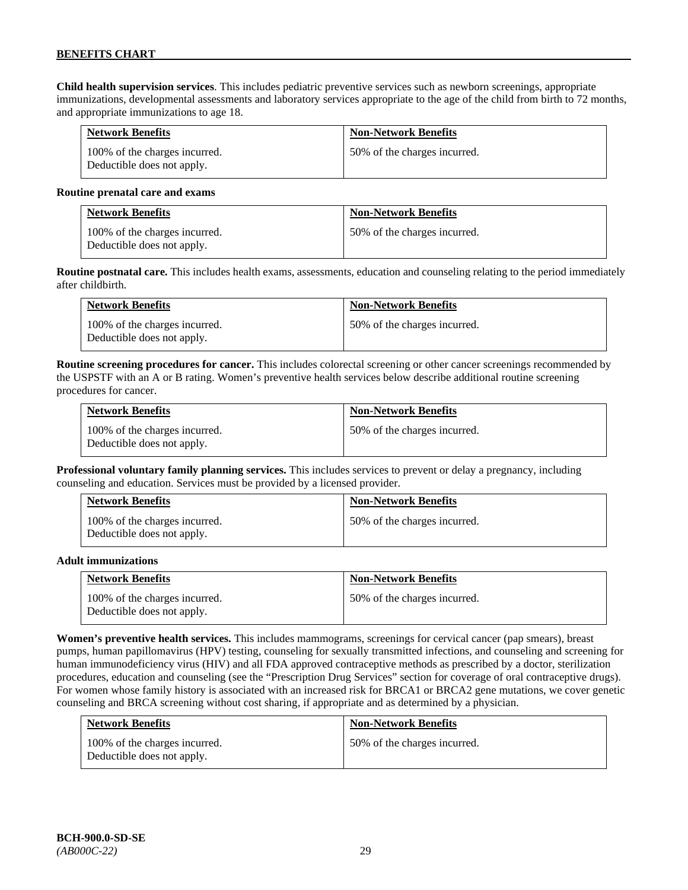**Child health supervision services**. This includes pediatric preventive services such as newborn screenings, appropriate immunizations, developmental assessments and laboratory services appropriate to the age of the child from birth to 72 months, and appropriate immunizations to age 18.

| <b>Network Benefits</b>                                     | <b>Non-Network Benefits</b>  |
|-------------------------------------------------------------|------------------------------|
| 100% of the charges incurred.<br>Deductible does not apply. | 50% of the charges incurred. |

#### **Routine prenatal care and exams**

| <b>Network Benefits</b>                                     | <b>Non-Network Benefits</b>  |
|-------------------------------------------------------------|------------------------------|
| 100% of the charges incurred.<br>Deductible does not apply. | 50% of the charges incurred. |

**Routine postnatal care.** This includes health exams, assessments, education and counseling relating to the period immediately after childbirth.

| <b>Network Benefits</b>                                     | <b>Non-Network Benefits</b>  |
|-------------------------------------------------------------|------------------------------|
| 100% of the charges incurred.<br>Deductible does not apply. | 50% of the charges incurred. |

**Routine screening procedures for cancer.** This includes colorectal screening or other cancer screenings recommended by the USPSTF with an A or B rating. Women's preventive health services below describe additional routine screening procedures for cancer.

| <b>Network Benefits</b>                                     | <b>Non-Network Benefits</b>  |
|-------------------------------------------------------------|------------------------------|
| 100% of the charges incurred.<br>Deductible does not apply. | 50% of the charges incurred. |

**Professional voluntary family planning services.** This includes services to prevent or delay a pregnancy, including counseling and education. Services must be provided by a licensed provider.

| <b>Network Benefits</b>                                     | <b>Non-Network Benefits</b>  |
|-------------------------------------------------------------|------------------------------|
| 100% of the charges incurred.<br>Deductible does not apply. | 50% of the charges incurred. |

#### **Adult immunizations**

| <b>Network Benefits</b>                                     | <b>Non-Network Benefits</b>  |
|-------------------------------------------------------------|------------------------------|
| 100% of the charges incurred.<br>Deductible does not apply. | 50% of the charges incurred. |

**Women's preventive health services.** This includes mammograms, screenings for cervical cancer (pap smears), breast pumps, human papillomavirus (HPV) testing, counseling for sexually transmitted infections, and counseling and screening for human immunodeficiency virus (HIV) and all FDA approved contraceptive methods as prescribed by a doctor, sterilization procedures, education and counseling (see the "Prescription Drug Services" section for coverage of oral contraceptive drugs). For women whose family history is associated with an increased risk for BRCA1 or BRCA2 gene mutations, we cover genetic counseling and BRCA screening without cost sharing, if appropriate and as determined by a physician.

| <b>Network Benefits</b>                                     | <b>Non-Network Benefits</b>  |
|-------------------------------------------------------------|------------------------------|
| 100% of the charges incurred.<br>Deductible does not apply. | 50% of the charges incurred. |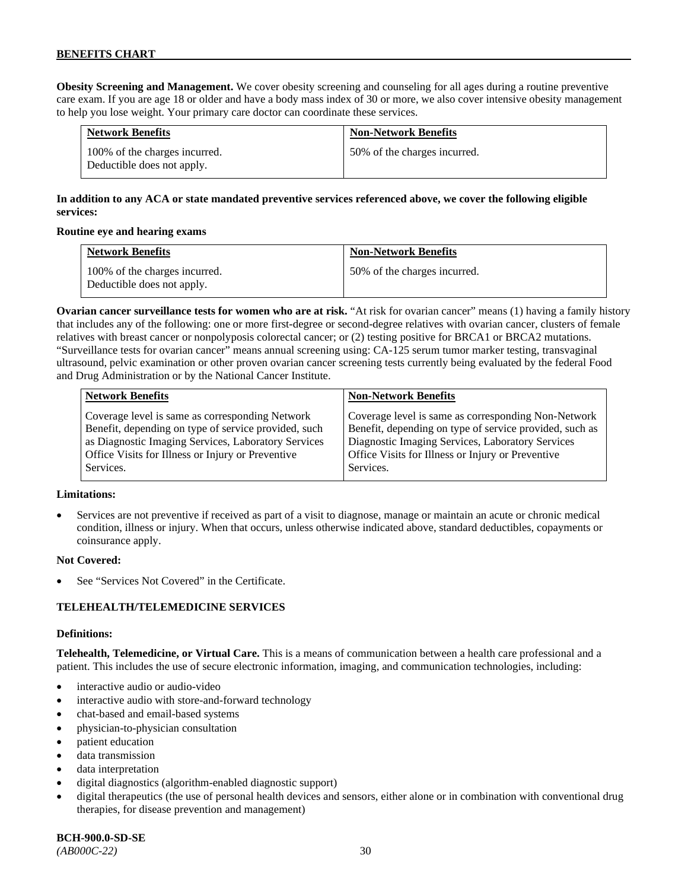**Obesity Screening and Management.** We cover obesity screening and counseling for all ages during a routine preventive care exam. If you are age 18 or older and have a body mass index of 30 or more, we also cover intensive obesity management to help you lose weight. Your primary care doctor can coordinate these services.

| <b>Network Benefits</b>                                     | <b>Non-Network Benefits</b>  |
|-------------------------------------------------------------|------------------------------|
| 100% of the charges incurred.<br>Deductible does not apply. | 50% of the charges incurred. |

# **In addition to any ACA or state mandated preventive services referenced above, we cover the following eligible services:**

### **Routine eye and hearing exams**

| <b>Network Benefits</b>                                     | <b>Non-Network Benefits</b>  |
|-------------------------------------------------------------|------------------------------|
| 100% of the charges incurred.<br>Deductible does not apply. | 50% of the charges incurred. |

**Ovarian cancer surveillance tests for women who are at risk.** "At risk for ovarian cancer" means (1) having a family history that includes any of the following: one or more first-degree or second-degree relatives with ovarian cancer, clusters of female relatives with breast cancer or nonpolyposis colorectal cancer; or (2) testing positive for BRCA1 or BRCA2 mutations. "Surveillance tests for ovarian cancer" means annual screening using: CA-125 serum tumor marker testing, transvaginal ultrasound, pelvic examination or other proven ovarian cancer screening tests currently being evaluated by the federal Food and Drug Administration or by the National Cancer Institute.

| <b>Network Benefits</b>                              | <b>Non-Network Benefits</b>                             |
|------------------------------------------------------|---------------------------------------------------------|
| Coverage level is same as corresponding Network      | Coverage level is same as corresponding Non-Network     |
| Benefit, depending on type of service provided, such | Benefit, depending on type of service provided, such as |
| as Diagnostic Imaging Services, Laboratory Services  | Diagnostic Imaging Services, Laboratory Services        |
| Office Visits for Illness or Injury or Preventive    | Office Visits for Illness or Injury or Preventive       |
| Services.                                            | Services.                                               |

### **Limitations:**

• Services are not preventive if received as part of a visit to diagnose, manage or maintain an acute or chronic medical condition, illness or injury. When that occurs, unless otherwise indicated above, standard deductibles, copayments or coinsurance apply.

### **Not Covered:**

See "Services Not Covered" in the Certificate.

### **TELEHEALTH/TELEMEDICINE SERVICES**

#### **Definitions:**

**Telehealth, Telemedicine, or Virtual Care.** This is a means of communication between a health care professional and a patient. This includes the use of secure electronic information, imaging, and communication technologies, including:

- interactive audio or audio-video
- interactive audio with store-and-forward technology
- chat-based and email-based systems
- physician-to-physician consultation
- patient education
- data transmission
- data interpretation
- digital diagnostics (algorithm-enabled diagnostic support)
- digital therapeutics (the use of personal health devices and sensors, either alone or in combination with conventional drug therapies, for disease prevention and management)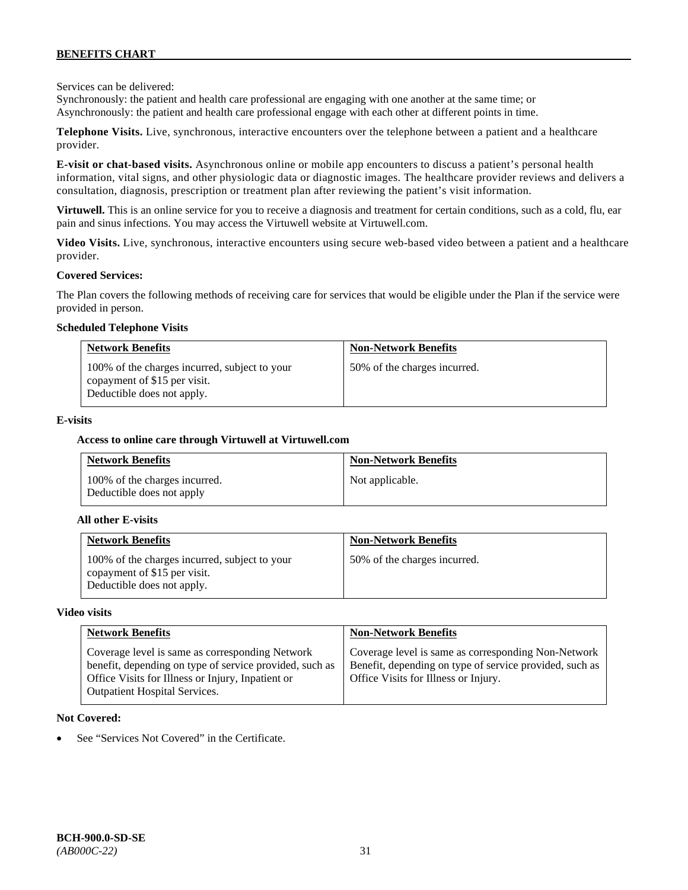Services can be delivered:

Synchronously: the patient and health care professional are engaging with one another at the same time; or Asynchronously: the patient and health care professional engage with each other at different points in time.

**Telephone Visits.** Live, synchronous, interactive encounters over the telephone between a patient and a healthcare provider.

**E-visit or chat-based visits.** Asynchronous online or mobile app encounters to discuss a patient's personal health information, vital signs, and other physiologic data or diagnostic images. The healthcare provider reviews and delivers a consultation, diagnosis, prescription or treatment plan after reviewing the patient's visit information.

**Virtuwell.** This is an online service for you to receive a diagnosis and treatment for certain conditions, such as a cold, flu, ear pain and sinus infections. You may access the Virtuwell website at [Virtuwell.com.](https://www.virtuwell.com/)

**Video Visits.** Live, synchronous, interactive encounters using secure web-based video between a patient and a healthcare provider.

### **Covered Services:**

The Plan covers the following methods of receiving care for services that would be eligible under the Plan if the service were provided in person.

### **Scheduled Telephone Visits**

| <b>Network Benefits</b>                                                                                     | <b>Non-Network Benefits</b>  |
|-------------------------------------------------------------------------------------------------------------|------------------------------|
| 100% of the charges incurred, subject to your<br>copayment of \$15 per visit.<br>Deductible does not apply. | 50% of the charges incurred. |

### **E-visits**

### **Access to online care through Virtuwell at [Virtuwell.com](http://www.virtuwell.com/)**

| <b>Network Benefits</b>                                    | <b>Non-Network Benefits</b> |
|------------------------------------------------------------|-----------------------------|
| 100% of the charges incurred.<br>Deductible does not apply | Not applicable.             |

#### **All other E-visits**

| <b>Network Benefits</b>                                                                                     | <b>Non-Network Benefits</b>  |
|-------------------------------------------------------------------------------------------------------------|------------------------------|
| 100% of the charges incurred, subject to your<br>copayment of \$15 per visit.<br>Deductible does not apply. | 50% of the charges incurred. |

### **Video visits**

| <b>Network Benefits</b>                                                                                                                                                                                 | <b>Non-Network Benefits</b>                                                                                                                            |
|---------------------------------------------------------------------------------------------------------------------------------------------------------------------------------------------------------|--------------------------------------------------------------------------------------------------------------------------------------------------------|
| Coverage level is same as corresponding Network<br>benefit, depending on type of service provided, such as<br>Office Visits for Illness or Injury, Inpatient or<br><b>Outpatient Hospital Services.</b> | Coverage level is same as corresponding Non-Network<br>Benefit, depending on type of service provided, such as<br>Office Visits for Illness or Injury. |

### **Not Covered:**

See "Services Not Covered" in the Certificate.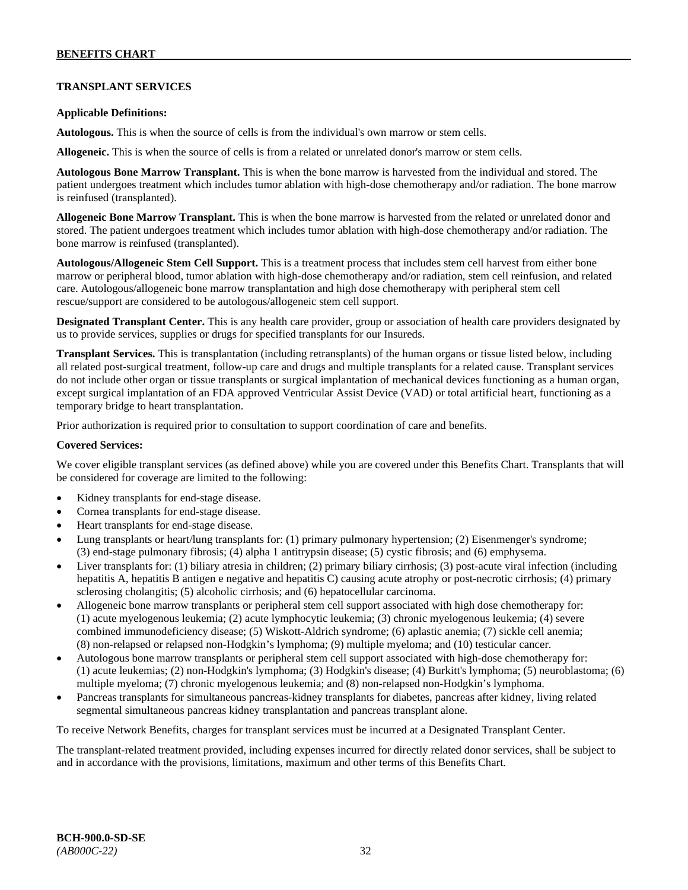# **TRANSPLANT SERVICES**

### **Applicable Definitions:**

**Autologous.** This is when the source of cells is from the individual's own marrow or stem cells.

**Allogeneic.** This is when the source of cells is from a related or unrelated donor's marrow or stem cells.

**Autologous Bone Marrow Transplant.** This is when the bone marrow is harvested from the individual and stored. The patient undergoes treatment which includes tumor ablation with high-dose chemotherapy and/or radiation. The bone marrow is reinfused (transplanted).

**Allogeneic Bone Marrow Transplant.** This is when the bone marrow is harvested from the related or unrelated donor and stored. The patient undergoes treatment which includes tumor ablation with high-dose chemotherapy and/or radiation. The bone marrow is reinfused (transplanted).

**Autologous/Allogeneic Stem Cell Support.** This is a treatment process that includes stem cell harvest from either bone marrow or peripheral blood, tumor ablation with high-dose chemotherapy and/or radiation, stem cell reinfusion, and related care. Autologous/allogeneic bone marrow transplantation and high dose chemotherapy with peripheral stem cell rescue/support are considered to be autologous/allogeneic stem cell support.

**Designated Transplant Center.** This is any health care provider, group or association of health care providers designated by us to provide services, supplies or drugs for specified transplants for our Insureds.

**Transplant Services.** This is transplantation (including retransplants) of the human organs or tissue listed below, including all related post-surgical treatment, follow-up care and drugs and multiple transplants for a related cause. Transplant services do not include other organ or tissue transplants or surgical implantation of mechanical devices functioning as a human organ, except surgical implantation of an FDA approved Ventricular Assist Device (VAD) or total artificial heart, functioning as a temporary bridge to heart transplantation.

Prior authorization is required prior to consultation to support coordination of care and benefits.

## **Covered Services:**

We cover eligible transplant services (as defined above) while you are covered under this Benefits Chart. Transplants that will be considered for coverage are limited to the following:

- Kidney transplants for end-stage disease.
- Cornea transplants for end-stage disease.
- Heart transplants for end-stage disease.
- Lung transplants or heart/lung transplants for: (1) primary pulmonary hypertension; (2) Eisenmenger's syndrome; (3) end-stage pulmonary fibrosis; (4) alpha 1 antitrypsin disease; (5) cystic fibrosis; and (6) emphysema.
- Liver transplants for: (1) biliary atresia in children; (2) primary biliary cirrhosis; (3) post-acute viral infection (including hepatitis A, hepatitis B antigen e negative and hepatitis C) causing acute atrophy or post-necrotic cirrhosis; (4) primary sclerosing cholangitis; (5) alcoholic cirrhosis; and (6) hepatocellular carcinoma.
- Allogeneic bone marrow transplants or peripheral stem cell support associated with high dose chemotherapy for: (1) acute myelogenous leukemia; (2) acute lymphocytic leukemia; (3) chronic myelogenous leukemia; (4) severe combined immunodeficiency disease; (5) Wiskott-Aldrich syndrome; (6) aplastic anemia; (7) sickle cell anemia; (8) non-relapsed or relapsed non-Hodgkin's lymphoma; (9) multiple myeloma; and (10) testicular cancer.
- Autologous bone marrow transplants or peripheral stem cell support associated with high-dose chemotherapy for: (1) acute leukemias; (2) non-Hodgkin's lymphoma; (3) Hodgkin's disease; (4) Burkitt's lymphoma; (5) neuroblastoma; (6) multiple myeloma; (7) chronic myelogenous leukemia; and (8) non-relapsed non-Hodgkin's lymphoma.
- Pancreas transplants for simultaneous pancreas-kidney transplants for diabetes, pancreas after kidney, living related segmental simultaneous pancreas kidney transplantation and pancreas transplant alone.

To receive Network Benefits, charges for transplant services must be incurred at a Designated Transplant Center.

The transplant-related treatment provided, including expenses incurred for directly related donor services, shall be subject to and in accordance with the provisions, limitations, maximum and other terms of this Benefits Chart.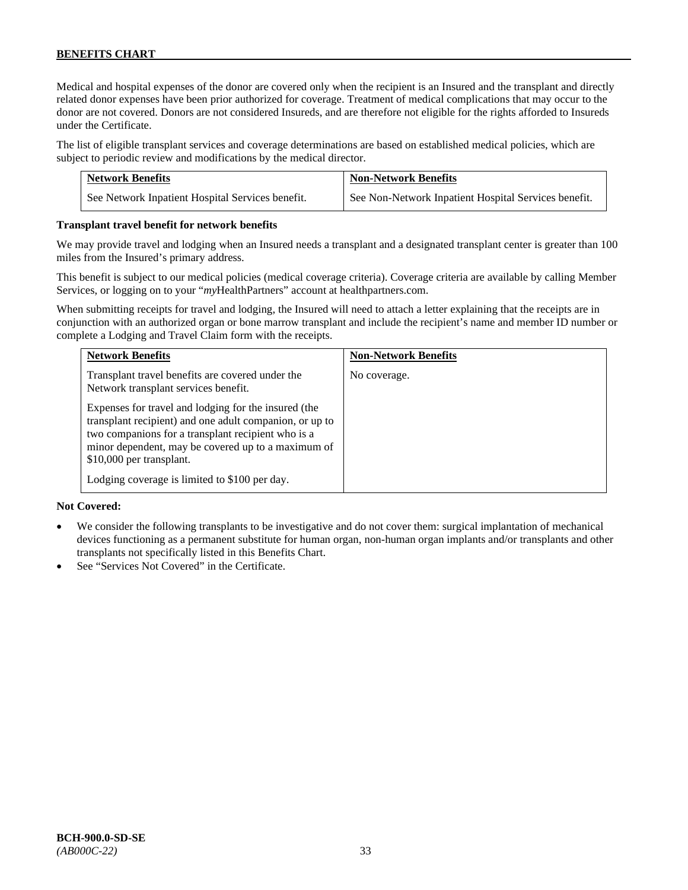Medical and hospital expenses of the donor are covered only when the recipient is an Insured and the transplant and directly related donor expenses have been prior authorized for coverage. Treatment of medical complications that may occur to the donor are not covered. Donors are not considered Insureds, and are therefore not eligible for the rights afforded to Insureds under the Certificate.

The list of eligible transplant services and coverage determinations are based on established medical policies, which are subject to periodic review and modifications by the medical director.

| <b>Network Benefits</b>                          | <b>Non-Network Benefits</b>                          |
|--------------------------------------------------|------------------------------------------------------|
| See Network Inpatient Hospital Services benefit. | See Non-Network Inpatient Hospital Services benefit. |

### **Transplant travel benefit for network benefits**

We may provide travel and lodging when an Insured needs a transplant and a designated transplant center is greater than 100 miles from the Insured's primary address.

This benefit is subject to our medical policies (medical coverage criteria). Coverage criteria are available by calling Member Services, or logging on to your "*my*HealthPartners" account a[t healthpartners.com.](http://www.healthpartners.com/)

When submitting receipts for travel and lodging, the Insured will need to attach a letter explaining that the receipts are in conjunction with an authorized organ or bone marrow transplant and include the recipient's name and member ID number or complete a Lodging and Travel Claim form with the receipts.

| <b>Network Benefits</b>                                                                                                                                                                                                                                                                                  | <b>Non-Network Benefits</b> |
|----------------------------------------------------------------------------------------------------------------------------------------------------------------------------------------------------------------------------------------------------------------------------------------------------------|-----------------------------|
| Transplant travel benefits are covered under the<br>Network transplant services benefit.                                                                                                                                                                                                                 | No coverage.                |
| Expenses for travel and lodging for the insured (the<br>transplant recipient) and one adult companion, or up to<br>two companions for a transplant recipient who is a<br>minor dependent, may be covered up to a maximum of<br>\$10,000 per transplant.<br>Lodging coverage is limited to \$100 per day. |                             |

### **Not Covered:**

- We consider the following transplants to be investigative and do not cover them: surgical implantation of mechanical devices functioning as a permanent substitute for human organ, non-human organ implants and/or transplants and other transplants not specifically listed in this Benefits Chart.
- See "Services Not Covered" in the Certificate.